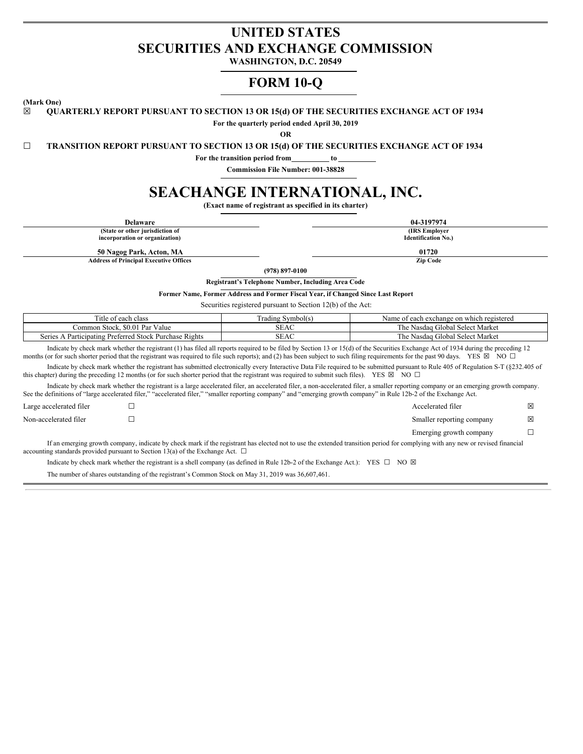# **UNITED STATES SECURITIES AND EXCHANGE COMMISSION**

**WASHINGTON, D.C. 20549**

# **FORM 10-Q**

**(Mark One)**

☒ **QUARTERLY REPORT PURSUANT TO SECTION 13 OR 15(d) OF THE SECURITIES EXCHANGE ACT OF 1934**

**For the quarterly period ended April 30, 2019**

**OR**

☐ **TRANSITION REPORT PURSUANT TO SECTION 13 OR 15(d) OF THE SECURITIES EXCHANGE ACT OF 1934**

**For the transition period from to**

**Commission File Number: 001-38828**

# **SEACHANGE INTERNATIONAL, INC.**

**(Exact name of registrant as specified in its charter)**

| <b>Delaware</b>                                                                                                                                                                                                                                                                                                                                                                       |                                                                                  | 04-3197974                                |   |  |  |  |  |  |
|---------------------------------------------------------------------------------------------------------------------------------------------------------------------------------------------------------------------------------------------------------------------------------------------------------------------------------------------------------------------------------------|----------------------------------------------------------------------------------|-------------------------------------------|---|--|--|--|--|--|
| (State or other jurisdiction of                                                                                                                                                                                                                                                                                                                                                       |                                                                                  | (IRS Employer                             |   |  |  |  |  |  |
| incorporation or organization)                                                                                                                                                                                                                                                                                                                                                        |                                                                                  | <b>Identification No.)</b>                |   |  |  |  |  |  |
| 50 Nagog Park, Acton, MA                                                                                                                                                                                                                                                                                                                                                              |                                                                                  | 01720                                     |   |  |  |  |  |  |
| <b>Address of Principal Executive Offices</b>                                                                                                                                                                                                                                                                                                                                         |                                                                                  | Zip Code                                  |   |  |  |  |  |  |
|                                                                                                                                                                                                                                                                                                                                                                                       | $(978) 897 - 0100$                                                               |                                           |   |  |  |  |  |  |
|                                                                                                                                                                                                                                                                                                                                                                                       | Registrant's Telephone Number, Including Area Code                               |                                           |   |  |  |  |  |  |
|                                                                                                                                                                                                                                                                                                                                                                                       | Former Name, Former Address and Former Fiscal Year, if Changed Since Last Report |                                           |   |  |  |  |  |  |
|                                                                                                                                                                                                                                                                                                                                                                                       | Securities registered pursuant to Section 12(b) of the Act:                      |                                           |   |  |  |  |  |  |
| Title of each class                                                                                                                                                                                                                                                                                                                                                                   | Trading Symbol(s)                                                                | Name of each exchange on which registered |   |  |  |  |  |  |
| Common Stock, \$0.01 Par Value                                                                                                                                                                                                                                                                                                                                                        | <b>SEAC</b>                                                                      | The Nasdaq Global Select Market           |   |  |  |  |  |  |
| Series A Participating Preferred Stock Purchase Rights                                                                                                                                                                                                                                                                                                                                | <b>SEAC</b>                                                                      | The Nasdaq Global Select Market           |   |  |  |  |  |  |
| Indicate by check mark whether the registrant (1) has filed all reports required to be filed by Section 13 or 15(d) of the Securities Exchange Act of 1934 during the preceding 12<br>months (or for such shorter period that the registrant was required to file such reports); and (2) has been subject to such filing requirements for the past 90 days. YES $\boxtimes$ NO $\Box$ |                                                                                  |                                           |   |  |  |  |  |  |
| Indicate by check mark whether the registrant has submitted electronically every Interactive Data File required to be submitted pursuant to Rule 405 of Regulation S-T (§232.405 of<br>this chapter) during the preceding 12 months (or for such shorter period that the registrant was required to submit such files). YES $\boxtimes$ NO $\Box$                                     |                                                                                  |                                           |   |  |  |  |  |  |
| Indicate by check mark whether the registrant is a large accelerated filer, an accelerated filer, a non-accelerated filer, a smaller reporting company or an emerging growth company.<br>See the definitions of "large accelerated filer," "accelerated filer," "smaller reporting company" and "emerging growth company" in Rule 12b-2 of the Exchange Act.                          |                                                                                  |                                           |   |  |  |  |  |  |
| Large accelerated filer<br>П                                                                                                                                                                                                                                                                                                                                                          |                                                                                  | Accelerated filer                         | 冈 |  |  |  |  |  |
| Non-accelerated filer<br>П                                                                                                                                                                                                                                                                                                                                                            |                                                                                  | Smaller reporting company                 | ⊠ |  |  |  |  |  |
|                                                                                                                                                                                                                                                                                                                                                                                       |                                                                                  | Emerging growth company                   | □ |  |  |  |  |  |
| If an emerging growth company, indicate by check mark if the registrant has elected not to use the extended transition period for complying with any new or revised financial<br>accounting standards provided pursuant to Section 13(a) of the Exchange Act. $\Box$                                                                                                                  |                                                                                  |                                           |   |  |  |  |  |  |
| Indicate by check mark whether the registrant is a shell company (as defined in Rule 12b-2 of the Exchange Act.): YES $\square$ NO $\boxtimes$                                                                                                                                                                                                                                        |                                                                                  |                                           |   |  |  |  |  |  |
| marijal el seus de la contrada de la contrada de la contrada de la contrada de la contrada de la contrada de l                                                                                                                                                                                                                                                                        |                                                                                  |                                           |   |  |  |  |  |  |

The number of shares outstanding of the registrant's Common Stock on May 31, 2019 was 36,607,461.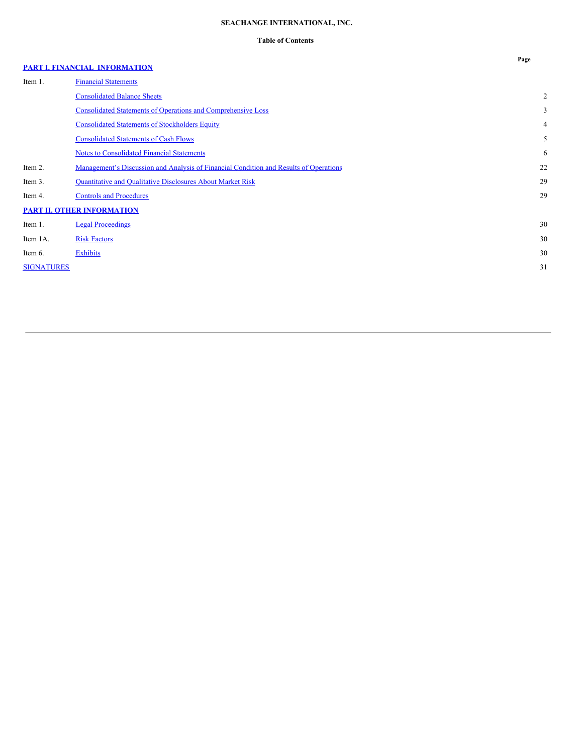# **SEACHANGE INTERNATIONAL, INC.**

# **Table of Contents**

# **PART I. FINANCIAL [INFORMATION](#page-2-0)**

| Item 1.           | <b>Financial Statements</b>                                                           |    |
|-------------------|---------------------------------------------------------------------------------------|----|
|                   | <b>Consolidated Balance Sheets</b>                                                    | 2  |
|                   | <b>Consolidated Statements of Operations and Comprehensive Loss</b>                   | 3  |
|                   | <b>Consolidated Statements of Stockholders Equity</b>                                 | 4  |
|                   | <b>Consolidated Statements of Cash Flows</b>                                          | 5  |
|                   | <b>Notes to Consolidated Financial Statements</b>                                     | 6  |
| Item 2.           | Management's Discussion and Analysis of Financial Condition and Results of Operations | 22 |
| Item 3.           | <b>Quantitative and Qualitative Disclosures About Market Risk</b>                     | 29 |
| Item 4.           | <b>Controls and Procedures</b>                                                        | 29 |
|                   | <b>PART II. OTHER INFORMATION</b>                                                     |    |
| Item 1.           | <b>Legal Proceedings</b>                                                              | 30 |
| Item 1A.          | <b>Risk Factors</b>                                                                   | 30 |
| Item 6.           | <b>Exhibits</b>                                                                       | 30 |
| <b>SIGNATURES</b> |                                                                                       | 31 |
|                   |                                                                                       |    |

**Page**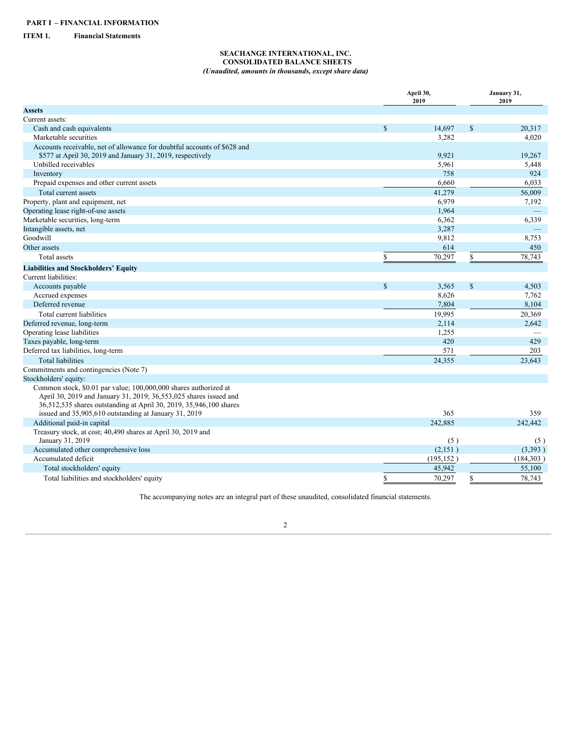# <span id="page-2-1"></span><span id="page-2-0"></span>**ITEM 1. Financial Statements**

# <span id="page-2-2"></span>**SEACHANGE INTERNATIONAL, INC. CONSOLIDATED BALANCE SHEETS** *(Unaudited, amounts in thousands, except share data)*

|                                                                                                                                                                                                             |               | April 30,<br>2019 | January 31,<br>2019 |            |  |
|-------------------------------------------------------------------------------------------------------------------------------------------------------------------------------------------------------------|---------------|-------------------|---------------------|------------|--|
| <b>Assets</b>                                                                                                                                                                                               |               |                   |                     |            |  |
| Current assets:                                                                                                                                                                                             |               |                   |                     |            |  |
| Cash and cash equivalents                                                                                                                                                                                   | $\mathbf S$   | 14,697            | $\mathbb{S}$        | 20,317     |  |
| Marketable securities                                                                                                                                                                                       |               | 3,282             |                     | 4,020      |  |
| Accounts receivable, net of allowance for doubtful accounts of \$628 and                                                                                                                                    |               |                   |                     |            |  |
| \$577 at April 30, 2019 and January 31, 2019, respectively                                                                                                                                                  |               | 9,921             |                     | 19,267     |  |
| Unbilled receivables                                                                                                                                                                                        |               | 5,961             |                     | 5,448      |  |
| Inventory                                                                                                                                                                                                   |               | 758               |                     | 924        |  |
| Prepaid expenses and other current assets                                                                                                                                                                   |               | 6,660             |                     | 6,033      |  |
| Total current assets                                                                                                                                                                                        |               | 41,279            |                     | 56,009     |  |
| Property, plant and equipment, net                                                                                                                                                                          |               | 6,979             |                     | 7,192      |  |
| Operating lease right-of-use assets                                                                                                                                                                         |               | 1,964             |                     |            |  |
| Marketable securities, long-term                                                                                                                                                                            |               | 6,362             |                     | 6,339      |  |
| Intangible assets, net                                                                                                                                                                                      |               | 3,287             |                     |            |  |
| Goodwill                                                                                                                                                                                                    |               | 9,812             |                     | 8,753      |  |
| Other assets                                                                                                                                                                                                |               | 614               |                     | 450        |  |
| Total assets                                                                                                                                                                                                | \$            | 70,297            | \$                  | 78,743     |  |
| <b>Liabilities and Stockholders' Equity</b>                                                                                                                                                                 |               |                   |                     |            |  |
| Current liabilities:                                                                                                                                                                                        |               |                   |                     |            |  |
| Accounts payable                                                                                                                                                                                            | $\mathcal{S}$ | 3,565             | \$                  | 4,503      |  |
| Accrued expenses                                                                                                                                                                                            |               | 8,626             |                     | 7,762      |  |
| Deferred revenue                                                                                                                                                                                            |               | 7,804             |                     | 8,104      |  |
| Total current liabilities                                                                                                                                                                                   |               | 19,995            |                     | 20,369     |  |
| Deferred revenue, long-term                                                                                                                                                                                 |               | 2,114             |                     | 2,642      |  |
| Operating lease liabilities                                                                                                                                                                                 |               | 1,255             |                     |            |  |
| Taxes payable, long-term                                                                                                                                                                                    |               | 420               |                     | 429        |  |
| Deferred tax liabilities, long-term                                                                                                                                                                         |               | 571               |                     | 203        |  |
| <b>Total liabilities</b>                                                                                                                                                                                    |               | 24,355            |                     | 23,643     |  |
| Commitments and contingencies (Note 7)                                                                                                                                                                      |               |                   |                     |            |  |
| Stockholders' equity:                                                                                                                                                                                       |               |                   |                     |            |  |
| Common stock, \$0.01 par value; 100,000,000 shares authorized at<br>April 30, 2019 and January 31, 2019; 36,553,025 shares issued and<br>36,512,535 shares outstanding at April 30, 2019, 35,946,100 shares |               |                   |                     |            |  |
| issued and 35,905,610 outstanding at January 31, 2019                                                                                                                                                       |               | 365               |                     | 359        |  |
| Additional paid-in capital                                                                                                                                                                                  |               | 242,885           |                     | 242,442    |  |
| Treasury stock, at cost; 40,490 shares at April 30, 2019 and                                                                                                                                                |               |                   |                     |            |  |
| January 31, 2019                                                                                                                                                                                            |               | (5)               |                     | (5)        |  |
| Accumulated other comprehensive loss                                                                                                                                                                        |               | (2,151)           |                     | (3,393)    |  |
| Accumulated deficit                                                                                                                                                                                         |               | (195, 152)        |                     | (184, 303) |  |
| Total stockholders' equity                                                                                                                                                                                  |               | 45,942            |                     | 55,100     |  |
| Total liabilities and stockholders' equity                                                                                                                                                                  | \$            | 70,297            | \$                  | 78,743     |  |

The accompanying notes are an integral part of these unaudited, consolidated financial statements.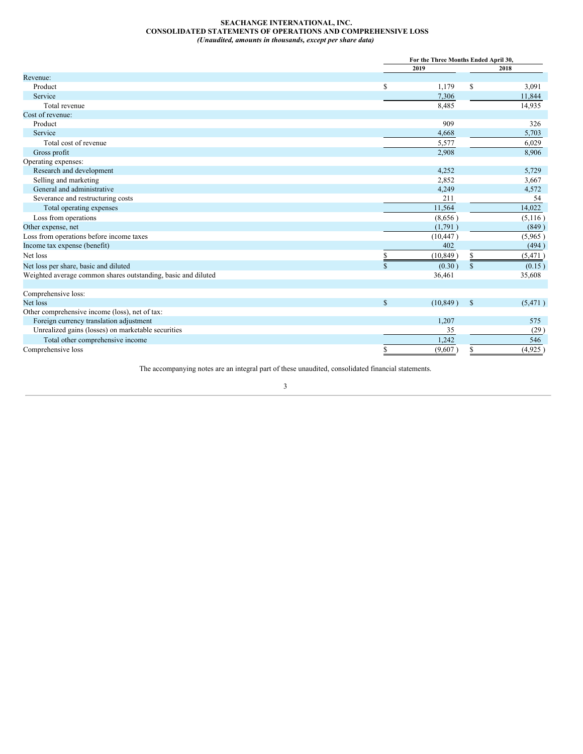# <span id="page-3-0"></span>**SEACHANGE INTERNATIONAL, INC. CONSOLIDATED STATEMENTS OF OPERATIONS AND COMPREHENSIVE LOSS** *(Unaudited, amounts in thousands, except per share data)*

|                                                               |                    | For the Three Months Ended April 30, |              |          |  |  |
|---------------------------------------------------------------|--------------------|--------------------------------------|--------------|----------|--|--|
|                                                               |                    | 2019                                 | 2018         |          |  |  |
| Revenue:                                                      |                    |                                      |              |          |  |  |
| Product                                                       | \$                 | 1,179                                | \$           | 3,091    |  |  |
| Service                                                       |                    | 7,306                                |              | 11,844   |  |  |
| Total revenue                                                 |                    | 8,485                                |              | 14,935   |  |  |
| Cost of revenue:                                              |                    |                                      |              |          |  |  |
| Product                                                       |                    | 909                                  |              | 326      |  |  |
| Service                                                       |                    | 4,668                                |              | 5,703    |  |  |
| Total cost of revenue                                         |                    | 5,577                                |              | 6,029    |  |  |
| Gross profit                                                  |                    | 2,908                                |              | 8,906    |  |  |
| Operating expenses:                                           |                    |                                      |              |          |  |  |
| Research and development                                      |                    | 4,252                                |              | 5,729    |  |  |
| Selling and marketing                                         |                    | 2,852                                |              | 3,667    |  |  |
| General and administrative                                    |                    | 4,249                                |              | 4,572    |  |  |
| Severance and restructuring costs                             |                    | 211                                  |              | 54       |  |  |
| Total operating expenses                                      |                    | 11,564                               |              | 14,022   |  |  |
| Loss from operations                                          |                    | (8,656)                              |              | (5,116)  |  |  |
| Other expense, net                                            |                    | (1,791)                              |              | (849)    |  |  |
| Loss from operations before income taxes                      |                    | (10, 447)                            |              | (5,965)  |  |  |
| Income tax expense (benefit)                                  |                    | 402                                  |              | (494)    |  |  |
| Net loss                                                      | \$                 | (10, 849)                            | \$           | (5, 471) |  |  |
| Net loss per share, basic and diluted                         | $\mathbf{\hat{S}}$ | (0.30)                               | $\mathbf S$  | (0.15)   |  |  |
| Weighted average common shares outstanding, basic and diluted |                    | 36,461                               |              | 35,608   |  |  |
| Comprehensive loss:                                           |                    |                                      |              |          |  |  |
| Net loss                                                      | <sup>\$</sup>      | (10, 849)                            | $\mathbb{S}$ | (5, 471) |  |  |
| Other comprehensive income (loss), net of tax:                |                    |                                      |              |          |  |  |
| Foreign currency translation adjustment                       |                    | 1,207                                |              | 575      |  |  |
| Unrealized gains (losses) on marketable securities            |                    | 35                                   |              | (29)     |  |  |
| Total other comprehensive income                              |                    | 1,242                                |              | 546      |  |  |
| Comprehensive loss                                            | \$                 | (9,607)                              | \$           | (4,925)  |  |  |

The accompanying notes are an integral part of these unaudited, consolidated financial statements.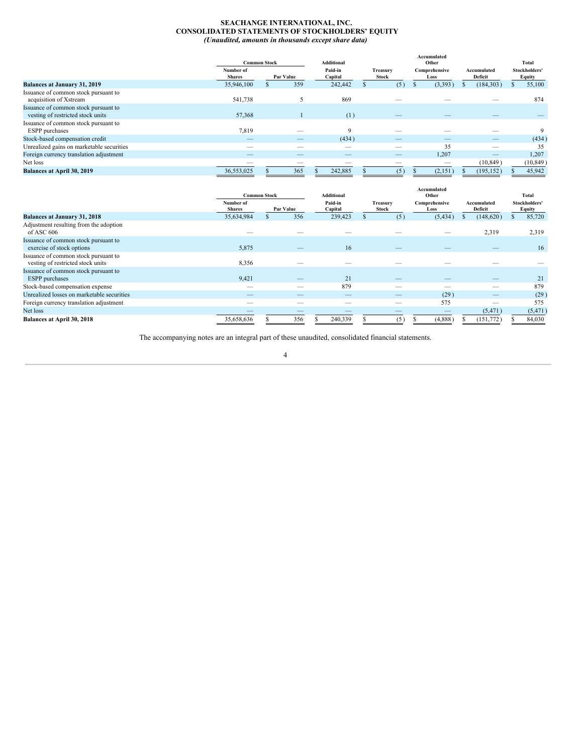## <span id="page-4-0"></span>**SEACHANGE INTERNATIONAL, INC. CONSOLIDATED STATEMENTS OF STOCKHOLDERS' EQUITY** *(Unaudited, amounts in thousands except share data)*

**Common Stock Additional Accumulated**  $Total$ **Number of Shares**<br>35,946,100 <br>**S** <br>**Par Value**<br>359 **Paid-in Capital Treasury Stock Comprehensive**  $\frac{Loss}{(3,393)}$  \$ **Accumulated Deficit**<br>(184,303) **Stockholders' Equity** 55,100 **Balances at January 31, 2019** 35,946,100 3 35,946,100 3 359 242,442 8 5 359 35 35,946,100 3 35,946,100 3 35,946,100 3 35,946,100 3 35,946,100 3 35,946,100 3 35,946,100 3 35,046,100 3 35,046,100 3 35,046,100 3 35,046,100 3 Issuance of common stock pursuant to acquisition of Xstream **541,738** 5 869 — — — 374 Issuance of common stock pursuant to vesting of restricted stock units  $57,368$   $1$   $(1)$   $-$ Issuance of common stock pursuant to ESPP purchases  $\frac{7,819}{9}$   $\frac{9}{2}$   $\frac{9}{2}$   $\frac{33}{2}$   $\frac{1}{2}$  9 Stock-based compensation credit — — (434) — — — (434 ) — — (434 ) — — (434 ) — — (434 ) — — (434 ) — (434 ) — (434 ) — (434 ) — (434 ) — (434 ) — (434 ) — (434 ) — (434 ) — (434 ) — (434 ) — (434 ) — (434 ) — (434 ) — (43 Unrealized gains on marketable securities — — — — 35 — 35 Foreign currency translation adjustment and the contract of the contract of the contract of the contract of the contract of the contract of the contract of the contract of the contract of the contract of the contract of th Net loss  $\qquad \qquad \qquad \qquad \qquad \qquad \qquad \qquad \qquad \qquad \qquad \qquad \qquad \qquad \qquad \qquad (10,849)$   $(10,849)$ **Balances at April 30, 2019** 36, 2019 36,553,025 \$ 365 \$ 242,885 \$ (5) \$ (2,151) \$ (195,152) \$ 45,942

|                                                                           | <b>Common Stock</b>        |           | <b>Additional</b>  |                   | Accumulated<br>Other  |                        | Total                   |
|---------------------------------------------------------------------------|----------------------------|-----------|--------------------|-------------------|-----------------------|------------------------|-------------------------|
|                                                                           | Number of<br><b>Shares</b> | Par Value | Paid-in<br>Capital | Treasury<br>Stock | Comprehensive<br>Loss | Accumulated<br>Deficit | Stockholders'<br>Equity |
| <b>Balances at January 31, 2018</b>                                       | 35,634,984                 | 356       | 239,423            | (5)               | (5, 434)              | (148, 620)             | 85,720                  |
| Adjustment resulting from the adoption<br>of ASC $606$                    |                            |           |                    |                   |                       | 2,319                  | 2,319                   |
| Issuance of common stock pursuant to                                      |                            |           |                    |                   |                       |                        |                         |
| exercise of stock options                                                 | 5,875                      |           | 16                 |                   |                       |                        | 16                      |
| Issuance of common stock pursuant to<br>vesting of restricted stock units | 8,356                      |           |                    |                   |                       |                        |                         |
| Issuance of common stock pursuant to<br><b>ESPP</b> purchases             | 9,421                      |           | 21                 | __                | --                    |                        | 21                      |
| Stock-based compensation expense                                          | $\overline{\phantom{a}}$   | __        | 879                | __                | --                    | —                      | 879                     |
| Unrealized losses on marketable securities                                |                            |           |                    |                   | (29)                  |                        | (29)                    |
| Foreign currency translation adjustment                                   |                            |           |                    |                   | 575                   |                        | 575                     |
| Net loss                                                                  |                            |           |                    |                   | --                    | (5,471)                | (5,471)                 |
| <b>Balances at April 30, 2018</b>                                         | 35,658,636                 | 356       | 240,339            | (5)               | (4,888)               | (151, 772)             | 84,030                  |

The accompanying notes are an integral part of these unaudited, consolidated financial statements.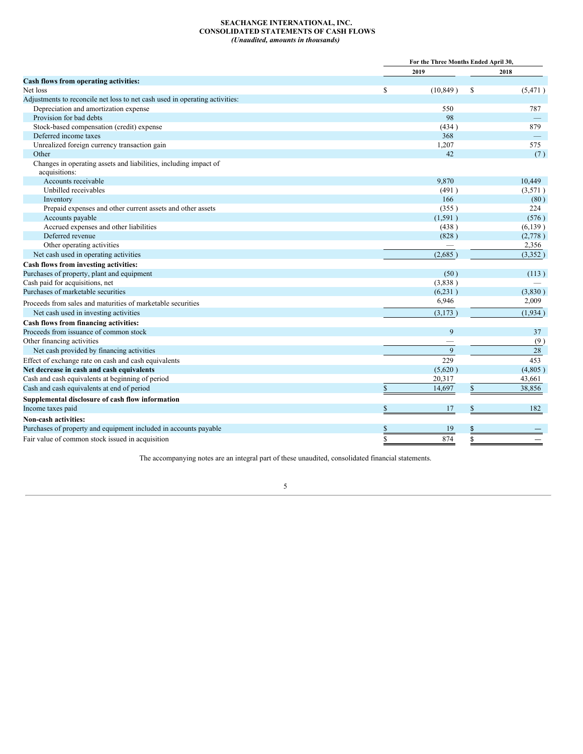## <span id="page-5-0"></span>**SEACHANGE INTERNATIONAL, INC. CONSOLIDATED STATEMENTS OF CASH FLOWS** *(Unaudited, amounts in thousands)*

|                                                                                   | For the Three Months Ended April 30, |    |          |  |  |  |
|-----------------------------------------------------------------------------------|--------------------------------------|----|----------|--|--|--|
|                                                                                   | 2019                                 |    | 2018     |  |  |  |
| Cash flows from operating activities:                                             |                                      |    |          |  |  |  |
| Net loss                                                                          | \$<br>(10, 849)                      | \$ | (5,471)  |  |  |  |
| Adjustments to reconcile net loss to net cash used in operating activities:       |                                      |    |          |  |  |  |
| Depreciation and amortization expense                                             | 550                                  |    | 787      |  |  |  |
| Provision for bad debts                                                           | 98                                   |    |          |  |  |  |
| Stock-based compensation (credit) expense                                         | (434)                                |    | 879      |  |  |  |
| Deferred income taxes                                                             | 368                                  |    |          |  |  |  |
| Unrealized foreign currency transaction gain                                      | 1,207                                |    | 575      |  |  |  |
| Other                                                                             | 42                                   |    | (7)      |  |  |  |
| Changes in operating assets and liabilities, including impact of<br>acquisitions: |                                      |    |          |  |  |  |
| Accounts receivable                                                               | 9,870                                |    | 10,449   |  |  |  |
| Unbilled receivables                                                              | (491)                                |    | (3,571)  |  |  |  |
| Inventory                                                                         | 166                                  |    | (80)     |  |  |  |
| Prepaid expenses and other current assets and other assets                        | (355)                                |    | 224      |  |  |  |
| Accounts payable                                                                  | (1,591)                              |    | (576)    |  |  |  |
| Accrued expenses and other liabilities                                            | (438)                                |    | (6, 139) |  |  |  |
| Deferred revenue                                                                  | (828)                                |    | (2,778)  |  |  |  |
| Other operating activities                                                        |                                      |    | 2,356    |  |  |  |
| Net cash used in operating activities                                             | (2,685)                              |    | (3,352)  |  |  |  |
| Cash flows from investing activities:                                             |                                      |    |          |  |  |  |
| Purchases of property, plant and equipment                                        | (50)                                 |    | (113)    |  |  |  |
| Cash paid for acquisitions, net                                                   | (3,838)                              |    |          |  |  |  |
| Purchases of marketable securities                                                | (6,231)                              |    | (3,830)  |  |  |  |
| Proceeds from sales and maturities of marketable securities                       | 6,946                                |    | 2,009    |  |  |  |
| Net cash used in investing activities                                             | (3,173)                              |    | (1,934)  |  |  |  |
| Cash flows from financing activities:                                             |                                      |    |          |  |  |  |
| Proceeds from issuance of common stock                                            | 9                                    |    | 37       |  |  |  |
| Other financing activities                                                        |                                      |    | (9)      |  |  |  |
| Net cash provided by financing activities                                         | 9                                    |    | 28       |  |  |  |
| Effect of exchange rate on cash and cash equivalents                              | 229                                  |    | 453      |  |  |  |
| Net decrease in cash and cash equivalents                                         | (5,620)                              |    | (4,805)  |  |  |  |
| Cash and cash equivalents at beginning of period                                  | 20,317                               |    | 43,661   |  |  |  |
| Cash and cash equivalents at end of period                                        | \$<br>14,697                         | \$ | 38,856   |  |  |  |
| Supplemental disclosure of cash flow information                                  |                                      |    |          |  |  |  |
| Income taxes paid                                                                 | \$<br>17                             | \$ | 182      |  |  |  |
| Non-cash activities:                                                              |                                      |    |          |  |  |  |
| Purchases of property and equipment included in accounts payable                  | \$<br>19                             | \$ |          |  |  |  |
| Fair value of common stock issued in acquisition                                  | \$<br>874                            | \$ |          |  |  |  |
|                                                                                   |                                      |    |          |  |  |  |

The accompanying notes are an integral part of these unaudited, consolidated financial statements.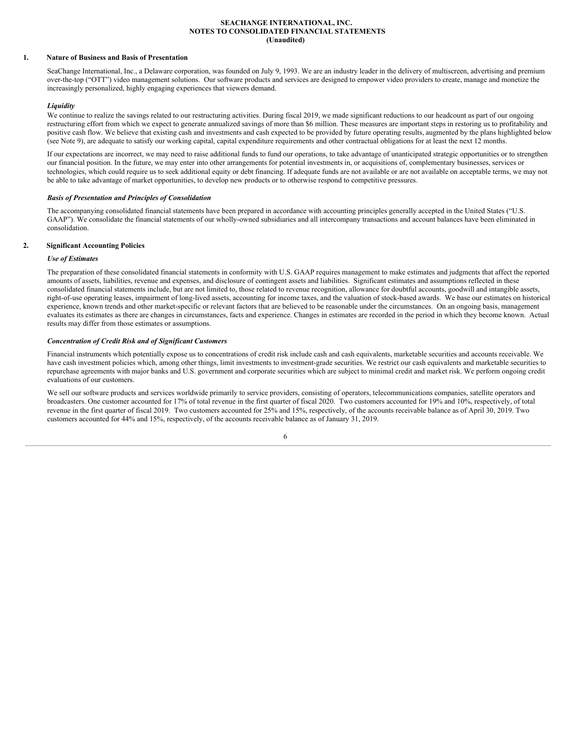### <span id="page-6-0"></span>**SEACHANGE INTERNATIONAL, INC. NOTES TO CONSOLIDATED FINANCIAL STATEMENTS (Unaudited)**

#### **1. Nature of Business and Basis of Presentation**

SeaChange International, Inc., a Delaware corporation, was founded on July 9, 1993. We are an industry leader in the delivery of multiscreen, advertising and premium over-the-top ("OTT") video management solutions. Our software products and services are designed to empower video providers to create, manage and monetize the increasingly personalized, highly engaging experiences that viewers demand.

#### *Liquidity*

We continue to realize the savings related to our restructuring activities. During fiscal 2019, we made significant reductions to our headcount as part of our ongoing restructuring effort from which we expect to generate annualized savings of more than \$6 million. These measures are important steps in restoring us to profitability and positive cash flow. We believe that existing cash and investments and cash expected to be provided by future operating results, augmented by the plans highlighted below (see Note 9), are adequate to satisfy our working capital, capital expenditure requirements and other contractual obligations for at least the next 12 months.

If our expectations are incorrect, we may need to raise additional funds to fund our operations, to take advantage of unanticipated strategic opportunities or to strengthen our financial position. In the future, we may enter into other arrangements for potential investments in, or acquisitions of, complementary businesses, services or technologies, which could require us to seek additional equity or debt financing. If adequate funds are not available or are not available on acceptable terms, we may not be able to take advantage of market opportunities, to develop new products or to otherwise respond to competitive pressures.

#### *Basis of Presentation and Principles of Consolidation*

The accompanying consolidated financial statements have been prepared in accordance with accounting principles generally accepted in the United States ("U.S. GAAP"). We consolidate the financial statements of our wholly-owned subsidiaries and all intercompany transactions and account balances have been eliminated in consolidation.

## **2. Significant Accounting Policies**

#### *Use of Estimates*

The preparation of these consolidated financial statements in conformity with U.S. GAAP requires management to make estimates and judgments that affect the reported amounts of assets, liabilities, revenue and expenses, and disclosure of contingent assets and liabilities. Significant estimates and assumptions reflected in these consolidated financial statements include, but are not limited to, those related to revenue recognition, allowance for doubtful accounts, goodwill and intangible assets, right-of-use operating leases, impairment of long-lived assets, accounting for income taxes, and the valuation of stock-based awards. We base our estimates on historical experience, known trends and other market-specific or relevant factors that are believed to be reasonable under the circumstances. On an ongoing basis, management evaluates its estimates as there are changes in circumstances, facts and experience. Changes in estimates are recorded in the period in which they become known. Actual results may differ from those estimates or assumptions.

#### *Concentration of Credit Risk and of Significant Customers*

Financial instruments which potentially expose us to concentrations of credit risk include cash and cash equivalents, marketable securities and accounts receivable. We have cash investment policies which, among other things, limit investments to investment-grade securities. We restrict our cash equivalents and marketable securities to repurchase agreements with major banks and U.S. government and corporate securities which are subject to minimal credit and market risk. We perform ongoing credit evaluations of our customers.

We sell our software products and services worldwide primarily to service providers, consisting of operators, telecommunications companies, satellite operators and broadcasters. One customer accounted for 17% of total revenue in the first quarter of fiscal 2020. Two customers accounted for 19% and 10%, respectively, of total revenue in the first quarter of fiscal 2019. Two customers accounted for 25% and 15%, respectively, of the accounts receivable balance as of April 30, 2019. Two customers accounted for 44% and 15%, respectively, of the accounts receivable balance as of January 31, 2019.

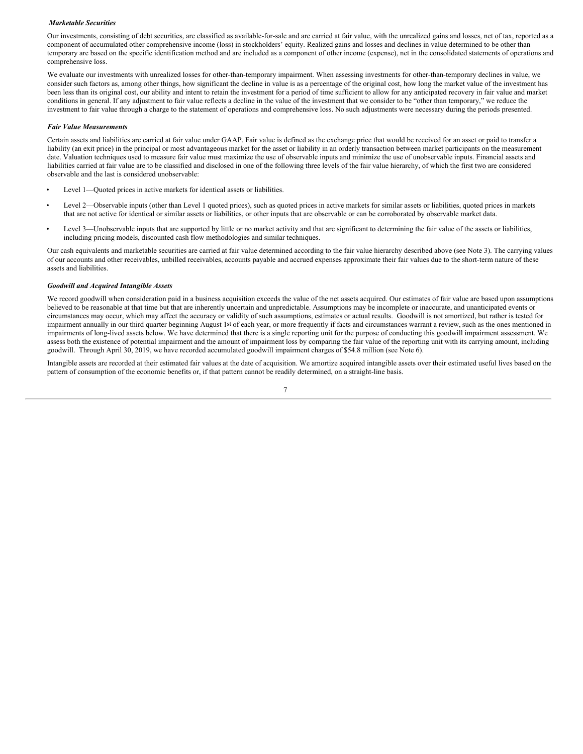#### *Marketable Securities*

Our investments, consisting of debt securities, are classified as available-for-sale and are carried at fair value, with the unrealized gains and losses, net of tax, reported as a component of accumulated other comprehensive income (loss) in stockholders' equity. Realized gains and losses and declines in value determined to be other than temporary are based on the specific identification method and are included as a component of other income (expense), net in the consolidated statements of operations and comprehensive loss.

We evaluate our investments with unrealized losses for other-than-temporary impairment. When assessing investments for other-than-temporary declines in value, we consider such factors as, among other things, how significant the decline in value is as a percentage of the original cost, how long the market value of the investment has been less than its original cost, our ability and intent to retain the investment for a period of time sufficient to allow for any anticipated recovery in fair value and market conditions in general. If any adjustment to fair value reflects a decline in the value of the investment that we consider to be "other than temporary," we reduce the investment to fair value through a charge to the statement of operations and comprehensive loss. No such adjustments were necessary during the periods presented.

#### *Fair Value Measurements*

Certain assets and liabilities are carried at fair value under GAAP. Fair value is defined as the exchange price that would be received for an asset or paid to transfer a liability (an exit price) in the principal or most advantageous market for the asset or liability in an orderly transaction between market participants on the measurement date. Valuation techniques used to measure fair value must maximize the use of observable inputs and minimize the use of unobservable inputs. Financial assets and liabilities carried at fair value are to be classified and disclosed in one of the following three levels of the fair value hierarchy, of which the first two are considered observable and the last is considered unobservable:

- Level 1-Quoted prices in active markets for identical assets or liabilities.
- Level 2—Observable inputs (other than Level 1 quoted prices), such as quoted prices in active markets for similar assets or liabilities, quoted prices in markets that are not active for identical or similar assets or liabilities, or other inputs that are observable or can be corroborated by observable market data.
- Level 3—Unobservable inputs that are supported by little or no market activity and that are significant to determining the fair value of the assets or liabilities, including pricing models, discounted cash flow methodologies and similar techniques.

Our cash equivalents and marketable securities are carried at fair value determined according to the fair value hierarchy described above (see Note 3). The carrying values of our accounts and other receivables, unbilled receivables, accounts payable and accrued expenses approximate their fair values due to the short-term nature of these assets and liabilities.

#### *Goodwill and Acquired Intangible Assets*

We record goodwill when consideration paid in a business acquisition exceeds the value of the net assets acquired. Our estimates of fair value are based upon assumptions believed to be reasonable at that time but that are inherently uncertain and unpredictable. Assumptions may be incomplete or inaccurate, and unanticipated events or circumstances may occur, which may affect the accuracy or validity of such assumptions, estimates or actual results. Goodwill is not amortized, but rather is tested for impairment annually in our third quarter beginning August 1st of each year, or more frequently if facts and circumstances warrant a review, such as the ones mentioned in impairments of long-lived assets below. We have determined that there is a single reporting unit for the purpose of conducting this goodwill impairment assessment. We assess both the existence of potential impairment and the amount of impairment loss by comparing the fair value of the reporting unit with its carrying amount, including goodwill. Through April 30, 2019, we have recorded accumulated goodwill impairment charges of \$54.8 million (see Note 6).

Intangible assets are recorded at their estimated fair values at the date of acquisition. We amortize acquired intangible assets over their estimated useful lives based on the pattern of consumption of the economic benefits or, if that pattern cannot be readily determined, on a straight-line basis.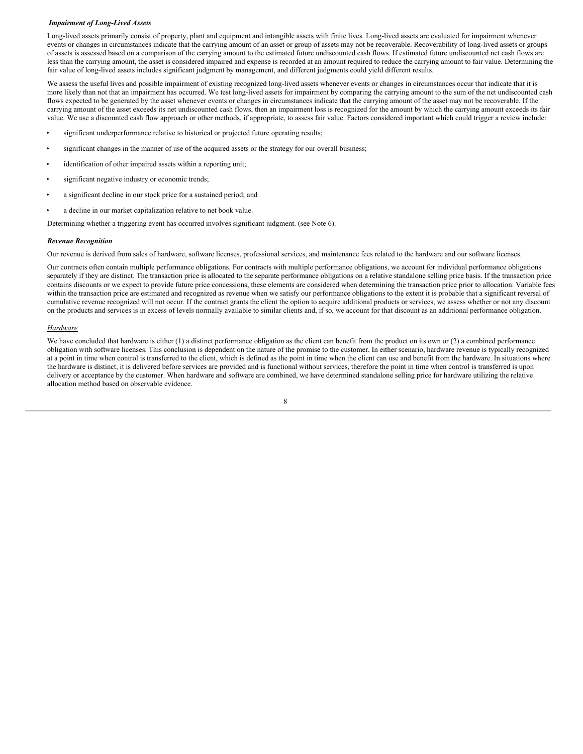#### *Impairment of Long-Lived Assets*

Long-lived assets primarily consist of property, plant and equipment and intangible assets with finite lives. Long-lived assets are evaluated for impairment whenever events or changes in circumstances indicate that the carrying amount of an asset or group of assets may not be recoverable. Recoverability of long-lived assets or groups of assets is assessed based on a comparison of the carrying amount to the estimated future undiscounted cash flows. If estimated future undiscounted net cash flows are less than the carrying amount, the asset is considered impaired and expense is recorded at an amount required to reduce the carrying amount to fair value. Determining the fair value of long-lived assets includes significant judgment by management, and different judgments could yield different results.

We assess the useful lives and possible impairment of existing recognized long-lived assets whenever events or changes in circumstances occur that indicate that it is more likely than not that an impairment has occurred. We test long-lived assets for impairment by comparing the carrying amount to the sum of the net undiscounted cash flows expected to be generated by the asset whenever events or changes in circumstances indicate that the carrying amount of the asset may not be recoverable. If the carrying amount of the asset exceeds its net undiscounted cash flows, then an impairment loss is recognized for the amount by which the carrying amount exceeds its fair value. We use a discounted cash flow approach or other methods, if appropriate, to assess fair value. Factors considered important which could trigger a review include:

- significant underperformance relative to historical or projected future operating results;
- significant changes in the manner of use of the acquired assets or the strategy for our overall business;
- identification of other impaired assets within a reporting unit;
- significant negative industry or economic trends;
- a significant decline in our stock price for a sustained period; and
- a decline in our market capitalization relative to net book value.

Determining whether a triggering event has occurred involves significant judgment. (see Note 6).

#### *Revenue Recognition*

Our revenue is derived from sales of hardware, software licenses, professional services, and maintenance fees related to the hardware and our software licenses.

Our contracts often contain multiple performance obligations. For contracts with multiple performance obligations, we account for individual performance obligations separately if they are distinct. The transaction price is allocated to the separate performance obligations on a relative standalone selling price basis. If the transaction price contains discounts or we expect to provide future price concessions, these elements are considered when determining the transaction price prior to allocation. Variable fees within the transaction price are estimated and recognized as revenue when we satisfy our performance obligations to the extent it is probable that a significant reversal of cumulative revenue recognized will not occur. If the contract grants the client the option to acquire additional products or services, we assess whether or not any discount on the products and services is in excess of levels normally available to similar clients and, if so, we account for that discount as an additional performance obligation.

## *Hardware*

We have concluded that hardware is either (1) a distinct performance obligation as the client can benefit from the product on its own or (2) a combined performance obligation with software licenses. This conclusion is dependent on the nature of the promise to the customer. In either scenario, hardware revenue is typically recognized at a point in time when control is transferred to the client, which is defined as the point in time when the client can use and benefit from the hardware. In situations where the hardware is distinct, it is delivered before services are provided and is functional without services, therefore the point in time when control is transferred is upon delivery or acceptance by the customer. When hardware and software are combined, we have determined standalone selling price for hardware utilizing the relative allocation method based on observable evidence.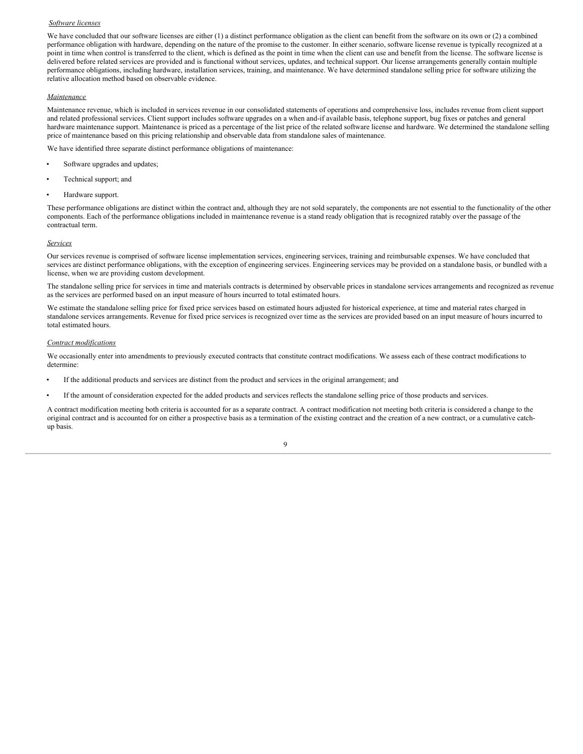#### *Software licenses*

We have concluded that our software licenses are either (1) a distinct performance obligation as the client can benefit from the software on its own or (2) a combined performance obligation with hardware, depending on the nature of the promise to the customer. In either scenario, software license revenue is typically recognized at a point in time when control is transferred to the client, which is defined as the point in time when the client can use and benefit from the license. The software license is delivered before related services are provided and is functional without services, updates, and technical support. Our license arrangements generally contain multiple performance obligations, including hardware, installation services, training, and maintenance. We have determined standalone selling price for software utilizing the relative allocation method based on observable evidence.

# *Maintenance*

Maintenance revenue, which is included in services revenue in our consolidated statements of operations and comprehensive loss, includes revenue from client support and related professional services. Client support includes software upgrades on a when and-if available basis, telephone support, bug fixes or patches and general hardware maintenance support. Maintenance is priced as a percentage of the list price of the related software license and hardware. We determined the standalone selling price of maintenance based on this pricing relationship and observable data from standalone sales of maintenance.

We have identified three separate distinct performance obligations of maintenance:

- Software upgrades and updates;
- Technical support; and
- Hardware support.

These performance obligations are distinct within the contract and, although they are not sold separately, the components are not essential to the functionality of the other components. Each of the performance obligations included in maintenance revenue is a stand ready obligation that is recognized ratably over the passage of the contractual term.

#### *Services*

Our services revenue is comprised of software license implementation services, engineering services, training and reimbursable expenses. We have concluded that services are distinct performance obligations, with the exception of engineering services. Engineering services may be provided on a standalone basis, or bundled with a license, when we are providing custom development.

The standalone selling price for services in time and materials contracts is determined by observable prices in standalone services arrangements and recognized as revenue as the services are performed based on an input measure of hours incurred to total estimated hours.

We estimate the standalone selling price for fixed price services based on estimated hours adjusted for historical experience, at time and material rates charged in standalone services arrangements. Revenue for fixed price services is recognized over time as the services are provided based on an input measure of hours incurred to total estimated hours.

#### *Contract modifications*

We occasionally enter into amendments to previously executed contracts that constitute contract modifications. We assess each of these contract modifications to determine:

- If the additional products and services are distinct from the product and services in the original arrangement; and
- If the amount of consideration expected for the added products and services reflects the standalone selling price of those products and services.

A contract modification meeting both criteria is accounted for as a separate contract. A contract modification not meeting both criteria is considered a change to the original contract and is accounted for on either a prospective basis as a termination of the existing contract and the creation of a new contract, or a cumulative catchup basis.

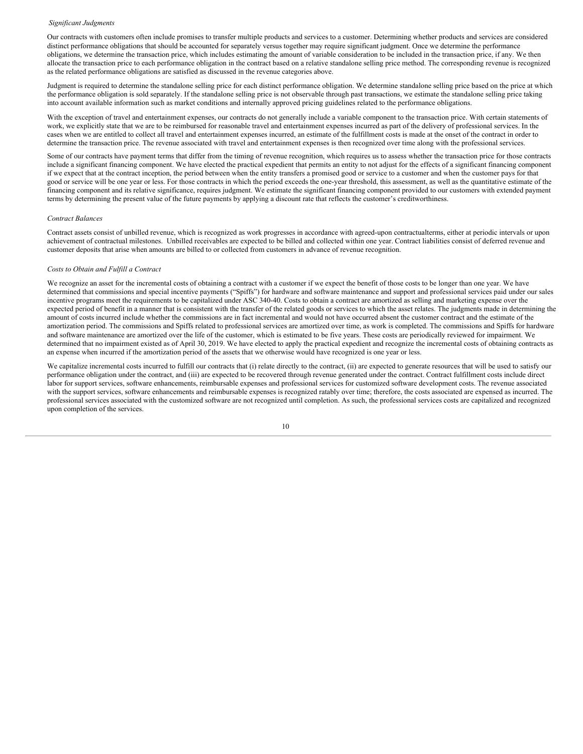#### *Significant Judgments*

Our contracts with customers often include promises to transfer multiple products and services to a customer. Determining whether products and services are considered distinct performance obligations that should be accounted for separately versus together may require significant judgment. Once we determine the performance obligations, we determine the transaction price, which includes estimating the amount of variable consideration to be included in the transaction price, if any. We then allocate the transaction price to each performance obligation in the contract based on a relative standalone selling price method. The corresponding revenue is recognized as the related performance obligations are satisfied as discussed in the revenue categories above.

Judgment is required to determine the standalone selling price for each distinct performance obligation. We determine standalone selling price based on the price at which the performance obligation is sold separately. If the standalone selling price is not observable through past transactions, we estimate the standalone selling price taking into account available information such as market conditions and internally approved pricing guidelines related to the performance obligations.

With the exception of travel and entertainment expenses, our contracts do not generally include a variable component to the transaction price. With certain statements of work, we explicitly state that we are to be reimbursed for reasonable travel and entertainment expenses incurred as part of the delivery of professional services. In the cases when we are entitled to collect all travel and entertainment expenses incurred, an estimate of the fulfillment costs is made at the onset of the contract in order to determine the transaction price. The revenue associated with travel and entertainment expenses is then recognized over time along with the professional services.

Some of our contracts have payment terms that differ from the timing of revenue recognition, which requires us to assess whether the transaction price for those contracts include a significant financing component. We have elected the practical expedient that permits an entity to not adjust for the effects of a significant financing component if we expect that at the contract inception, the period between when the entity transfers a promised good or service to a customer and when the customer pays for that good or service will be one year or less. For those contracts in which the period exceeds the one-year threshold, this assessment, as well as the quantitative estimate of the financing component and its relative significance, requires judgment. We estimate the significant financing component provided to our customers with extended payment terms by determining the present value of the future payments by applying a discount rate that reflects the customer's creditworthiness.

## *Contract Balances*

Contract assets consist of unbilled revenue, which is recognized as work progresses in accordance with agreed-upon contractualterms, either at periodic intervals or upon achievement of contractual milestones. Unbilled receivables are expected to be billed and collected within one year. Contract liabilities consist of deferred revenue and customer deposits that arise when amounts are billed to or collected from customers in advance of revenue recognition.

### *Costs to Obtain and Fulfill a Contract*

We recognize an asset for the incremental costs of obtaining a contract with a customer if we expect the benefit of those costs to be longer than one year. We have determined that commissions and special incentive payments ("Spiffs") for hardware and software maintenance and support and professional services paid under our sales incentive programs meet the requirements to be capitalized under ASC 340-40. Costs to obtain a contract are amortized as selling and marketing expense over the expected period of benefit in a manner that is consistent with the transfer of the related goods or services to which the asset relates. The judgments made in determining the amount of costs incurred include whether the commissions are in fact incremental and would not have occurred absent the customer contract and the estimate of the amortization period. The commissions and Spiffs related to professional services are amortized over time, as work is completed. The commissions and Spiffs for hardware and software maintenance are amortized over the life of the customer, which is estimated to be five years. These costs are periodically reviewed for impairment. We determined that no impairment existed as of April 30, 2019. We have elected to apply the practical expedient and recognize the incremental costs of obtaining contracts as an expense when incurred if the amortization period of the assets that we otherwise would have recognized is one year or less.

We capitalize incremental costs incurred to fulfill our contracts that (i) relate directly to the contract, (ii) are expected to generate resources that will be used to satisfy our performance obligation under the contract, and (iii) are expected to be recovered through revenue generated under the contract. Contract fulfillment costs include direct labor for support services, software enhancements, reimbursable expenses and professional services for customized software development costs. The revenue associated with the support services, software enhancements and reimbursable expenses is recognized ratably over time; therefore, the costs associated are expensed as incurred. The professional services associated with the customized software are not recognized until completion. As such, the professional services costs are capitalized and recognized upon completion of the services.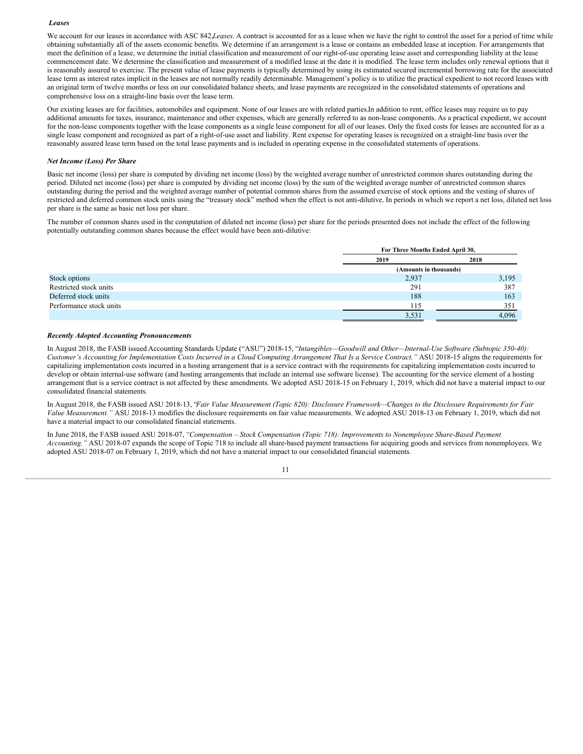#### *Leases*

We account for our leases in accordance with ASC 842,*Leases*. A contract is accounted for as a lease when we have the right to control the asset for a period of time while obtaining substantially all of the assets economic benefits. We determine if an arrangement is a lease or contains an embedded lease at inception. For arrangements that meet the definition of a lease, we determine the initial classification and measurement of our right-of-use operating lease asset and corresponding liability at the lease commencement date. We determine the classification and measurement of a modified lease at the date it is modified. The lease term includes only renewal options that it is reasonably assured to exercise. The present value of lease payments is typically determined by using its estimated secured incremental borrowing rate for the associated lease term as interest rates implicit in the leases are not normally readily determinable. Management's policy is to utilize the practical expedient to not record leases with an original term of twelve months or less on our consolidated balance sheets, and lease payments are recognized in the consolidated statements of operations and comprehensive loss on a straight-line basis over the lease term.

Our existing leases are for facilities, automobiles and equipment. None of our leases are with related parties.In addition to rent, office leases may require us to pay additional amounts for taxes, insurance, maintenance and other expenses, which are generally referred to as non-lease components. As a practical expedient, we account for the non-lease components together with the lease components as a single lease component for all of our leases. Only the fixed costs for leases are accounted for as a single lease component and recognized as part of a right-of-use asset and liability. Rent expense for operating leases is recognized on a straight-line basis over the reasonably assured lease term based on the total lease payments and is included in operating expense in the consolidated statements of operations.

#### *Net Income (Loss) Per Share*

Basic net income (loss) per share is computed by dividing net income (loss) by the weighted average number of unrestricted common shares outstanding during the period. Diluted net income (loss) per share is computed by dividing net income (loss) by the sum of the weighted average number of unrestricted common shares outstanding during the period and the weighted average number of potential common shares from the assumed exercise of stock options and the vesting of shares of restricted and deferred common stock units using the "treasury stock" method when the effect is not anti-dilutive. In periods in which we report a net loss, diluted net loss per share is the same as basic net loss per share.

The number of common shares used in the computation of diluted net income (loss) per share for the periods presented does not include the effect of the following potentially outstanding common shares because the effect would have been anti-dilutive:

|                         | For Three Months Ended April 30, |       |
|-------------------------|----------------------------------|-------|
|                         | 2019                             | 2018  |
|                         | (Amounts in thousands)           |       |
| Stock options           | 2,937                            | 3,195 |
| Restricted stock units  | 291                              | 387   |
| Deferred stock units    | 188                              | 163   |
| Performance stock units | 115                              | 351   |
|                         | 3,531                            | 4,096 |

#### *Recently Adopted Accounting Pronouncements*

In August 2018, the FASB issued Accounting Standards Update ("ASU") 2018-15, "*Intangibles—Goodwill and Other—Internal-Use Software (Subtopic 350-40):* Customer's Accounting for Implementation Costs Incurred in a Cloud Computing Arrangement That Is a Service Contract." ASU 2018-15 aligns the requirements for capitalizing implementation costs incurred in a hosting arrangement that is a service contract with the requirements for capitalizing implementation costs incurred to develop or obtain internal-use software (and hosting arrangements that include an internal use software license). The accounting for the service element of a hosting arrangement that is a service contract is not affected by these amendments. We adopted ASU 2018-15 on February 1, 2019, which did not have a material impact to our consolidated financial statements.

In August 2018, the FASB issued ASU 2018-13, 'Fair Value Measurement (Topic 820): Disclosure Framework-Changes to the Disclosure Requirements for Fair *Value Measurement."* ASU 2018-13 modifies the disclosure requirements on fair value measurements. We adopted ASU 2018-13 on February 1, 2019, which did not have a material impact to our consolidated financial statements.

In June 2018, the FASB issued ASU 2018-07, *"Compensation – Stock Compensation (Topic 718): Improvements to Nonemployee Share-Based Payment Accounting."* ASU 2018-07 expands the scope of Topic 718 to include all share-based payment transactions for acquiring goods and services from nonemployees. We adopted ASU 2018-07 on February 1, 2019, which did not have a material impact to our consolidated financial statements.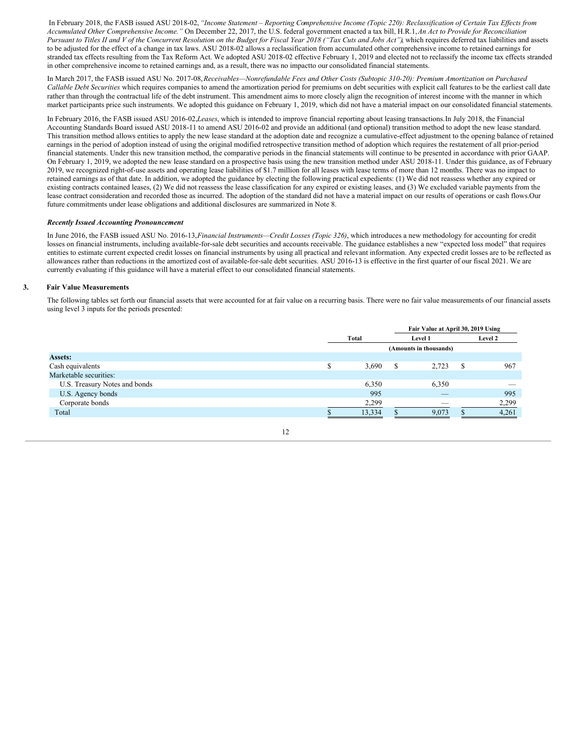In February 2018, the FASB issued ASU 2018-02, "Income Statement - Reporting Comprehensive Income (Topic 220): Reclassification of Certain Tax Effects from *Accumulated Other Comprehensive Income."* On December 22, 2017, the U.S. federal government enacted a tax bill, H.R.1,*An Act to Provide for Reconciliation* Pursuant to Titles II and V of the Concurrent Resolution on the Budget for Fiscal Year 2018 ("Tax Cuts and Jobs Act"), which requires deferred tax liabilities and assets to be adjusted for the effect of a change in tax laws. ASU 2018-02 allows a reclassification from accumulated other comprehensive income to retained earnings for stranded tax effects resulting from the Tax Reform Act. We adopted ASU 2018-02 effective February 1, 2019 and elected not to reclassify the income tax effects stranded in other comprehensive income to retained earnings and, as a result, there was no impactto our consolidated financial statements.

In March 2017, the FASB issued ASU No. 2017-08,*Receivables—Nonrefundable Fees and Other Costs (Subtopic 310-20): Premium Amortization on Purchased Callable Debt Securities* which requires companies to amend the amortization period for premiums on debt securities with explicit call features to be the earliest call date rather than through the contractual life of the debt instrument. This amendment aims to more closely align the recognition of interest income with the manner in which market participants price such instruments. We adopted this guidance on February 1, 2019, which did not have a material impact on our consolidated financial statements.

In February 2016, the FASB issued ASU 2016-02,*Leases*, which is intended to improve financial reporting about leasing transactions.In July 2018, the Financial Accounting Standards Board issued ASU 2018-11 to amend ASU 2016-02 and provide an additional (and optional) transition method to adopt the new lease standard. This transition method allows entities to apply the new lease standard at the adoption date and recognize a cumulative-effect adjustment to the opening balance of retained earnings in the period of adoption instead of using the original modified retrospective transition method of adoption which requires the restatement of all prior-period financial statements. Under this new transition method, the comparative periods in the financial statements will continue to be presented in accordance with prior GAAP. On February 1, 2019, we adopted the new lease standard on a prospective basis using the new transition method under ASU 2018-11. Under this guidance, as of February 2019, we recognized right-of-use assets and operating lease liabilities of \$1.7 million for all leases with lease terms of more than 12 months. There was no impact to retained earnings as of that date. In addition, we adopted the guidance by electing the following practical expedients: (1) We did not reassess whether any expired or existing contracts contained leases, (2) We did not reassess the lease classification for any expired or existing leases, and (3) We excluded variable payments from the lease contract consideration and recorded those as incurred. The adoption of the standard did not have a material impact on our results of operations or cash flows.Our future commitments under lease obligations and additional disclosures are summarized in Note 8.

#### *Recently Issued Accounting Pronouncement*

In June 2016, the FASB issued ASU No. 2016-13,*Financial Instruments—Credit Losses (Topic 326)*, which introduces a new methodology for accounting for credit losses on financial instruments, including available-for-sale debt securities and accounts receivable. The guidance establishes a new "expected loss model" that requires entities to estimate current expected credit losses on financial instruments by using all practical and relevant information. Any expected credit losses are to be reflected as allowances rather than reductions in the amortized cost of available-for-sale debt securities. ASU 2016-13 is effective in the first quarter of our fiscal 2021. We are currently evaluating if this guidance will have a material effect to our consolidated financial statements.

# **3. Fair Value Measurements**

The following tables set forth our financial assets that were accounted for at fair value on a recurring basis. There were no fair value measurements of our financial assets using level 3 inputs for the periods presented:

|                               |        |                | Fair Value at April 30, 2019 Using |   |         |
|-------------------------------|--------|----------------|------------------------------------|---|---------|
|                               | Total  | <b>Level 1</b> |                                    |   | Level 2 |
|                               |        |                | (Amounts in thousands)             |   |         |
| <b>Assets:</b>                |        |                |                                    |   |         |
| Cash equivalents              | 3,690  | \$             | 2.723                              | S | 967     |
| Marketable securities:        |        |                |                                    |   |         |
| U.S. Treasury Notes and bonds | 6,350  |                | 6,350                              |   | $\sim$  |
| U.S. Agency bonds             | 995    |                | $\overline{\phantom{a}}$           |   | 995     |
| Corporate bonds               | 2,299  |                | _                                  |   | 2,299   |
| Total                         | 13,334 |                | 9.073                              |   | 4,261   |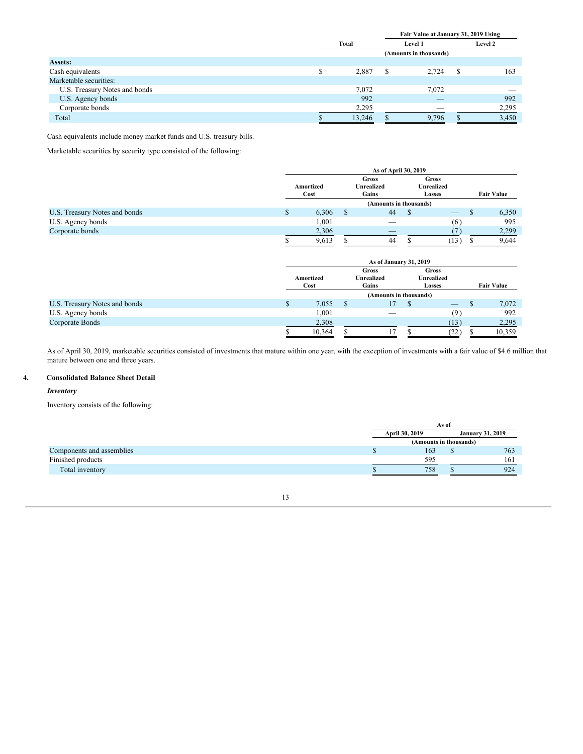|                               |  |        |          | Fair Value at January 31, 2019 Using |   |         |         |  |  |
|-------------------------------|--|--------|----------|--------------------------------------|---|---------|---------|--|--|
|                               |  | Total  |          |                                      |   | Level 1 | Level 2 |  |  |
|                               |  |        |          |                                      |   |         |         |  |  |
| <b>Assets:</b>                |  |        |          |                                      |   |         |         |  |  |
| Cash equivalents              |  | 2,887  | <b>S</b> | 2,724                                | S | 163     |         |  |  |
| Marketable securities:        |  |        |          |                                      |   |         |         |  |  |
| U.S. Treasury Notes and bonds |  | 7,072  |          | 7,072                                |   |         |         |  |  |
| U.S. Agency bonds             |  | 992    |          | $\overline{\phantom{a}}$             |   | 992     |         |  |  |
| Corporate bonds               |  | 2,295  |          | $-$                                  |   | 2,295   |         |  |  |
| Total                         |  | 13,246 |          | 9,796                                |   | 3,450   |         |  |  |

Cash equivalents include money market funds and U.S. treasury bills.

Marketable securities by security type consisted of the following:

|                               |   | As of April 30, 2019 |       |    |                              |   |                                      |  |                   |
|-------------------------------|---|----------------------|-------|----|------------------------------|---|--------------------------------------|--|-------------------|
|                               |   | Amortized<br>Cost    |       |    | Gross<br>Unrealized<br>Gains |   | Gross<br>Unrealized<br><b>Losses</b> |  | <b>Fair Value</b> |
|                               |   |                      |       |    | (Amounts in thousands)       |   |                                      |  |                   |
| U.S. Treasury Notes and bonds | ъ |                      | 6,306 | -8 | 44                           | S |                                      |  | 6,350             |
| U.S. Agency bonds             |   |                      | 1,001 |    | $\sim$                       |   | (6)                                  |  | 995               |
| Corporate bonds               |   |                      | 2,306 |    | $\overline{\phantom{a}}$     |   |                                      |  | 2,299             |
|                               |   |                      | 9,613 |    | 44                           |   | 13                                   |  | 9.644             |

|                               |   |                   |   | As of January 31, 2019       |                                             |                   |
|-------------------------------|---|-------------------|---|------------------------------|---------------------------------------------|-------------------|
|                               |   | Amortized<br>Cost |   | Gross<br>Unrealized<br>Gains | Gross<br><b>Unrealized</b><br><b>Losses</b> | <b>Fair Value</b> |
|                               |   |                   |   | (Amounts in thousands)       |                                             |                   |
| U.S. Treasury Notes and bonds | ъ | 7,055             | S |                              |                                             | 7,072             |
| U.S. Agency bonds             |   | 1,001             |   | _                            | (9)                                         | 992               |
| Corporate Bonds               |   | 2,308             |   | $\overline{\phantom{a}}$     | (13)                                        | 2,295             |
|                               |   | 10,364            |   |                              | (22)                                        | 10,359            |

As of April 30, 2019, marketable securities consisted of investments that mature within one year, with the exception of investments with a fair value of \$4.6 million that mature between one and three years.

# **4. Consolidated Balance Sheet Detail**

# *Inventory*

Inventory consists of the following:

|                           | As of |                        |                         |     |  |  |
|---------------------------|-------|------------------------|-------------------------|-----|--|--|
|                           |       | April 30, 2019         | <b>January 31, 2019</b> |     |  |  |
|                           |       | (Amounts in thousands) |                         |     |  |  |
| Components and assemblies |       | 163                    |                         | 763 |  |  |
| Finished products         |       | 595                    |                         | 161 |  |  |
| Total inventory           |       | 758                    |                         | 924 |  |  |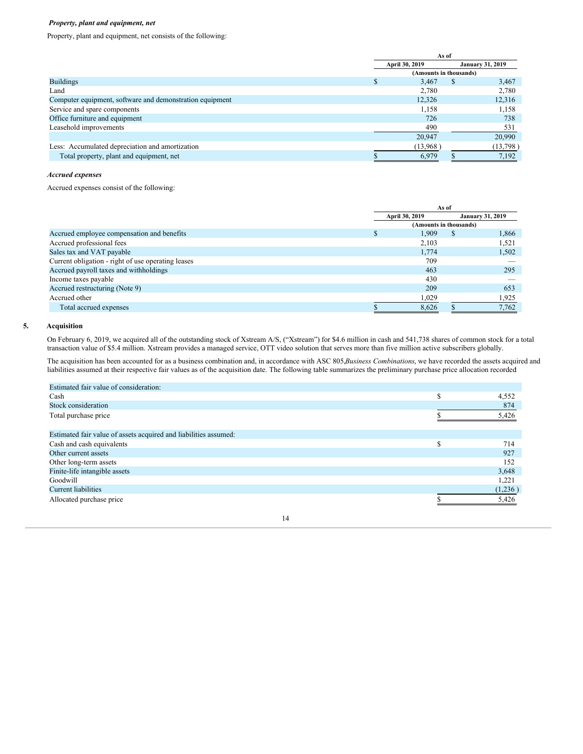# *Property, plant and equipment, net*

Property, plant and equipment, net consists of the following:

|                                                          | As of                  |          |                         |          |
|----------------------------------------------------------|------------------------|----------|-------------------------|----------|
|                                                          | April 30, 2019         |          | <b>January 31, 2019</b> |          |
|                                                          | (Amounts in thousands) |          |                         |          |
| <b>Buildings</b>                                         | S.                     | 3,467    | S                       | 3,467    |
| Land                                                     |                        | 2,780    |                         | 2,780    |
| Computer equipment, software and demonstration equipment |                        | 12,326   |                         | 12,316   |
| Service and spare components                             |                        | 1,158    |                         | 1,158    |
| Office furniture and equipment                           |                        | 726      |                         | 738      |
| Leasehold improvements                                   |                        | 490      |                         | 531      |
|                                                          |                        | 20,947   |                         | 20,990   |
| Less: Accumulated depreciation and amortization          |                        | (13,968) |                         | (13,798) |
| Total property, plant and equipment, net                 |                        | 6,979    |                         | 7,192    |

#### *Accrued expenses*

Accrued expenses consist of the following:

|                                                    | As of                  |     |                         |
|----------------------------------------------------|------------------------|-----|-------------------------|
|                                                    | April 30, 2019         |     | <b>January 31, 2019</b> |
|                                                    | (Amounts in thousands) |     |                         |
| Accrued employee compensation and benefits         | 1.909                  | \$. | 1.866                   |
| Accrued professional fees                          | 2,103                  |     | 1,521                   |
| Sales tax and VAT payable                          | 1,774                  |     | 1,502                   |
| Current obligation - right of use operating leases | 709                    |     |                         |
| Accrued payroll taxes and withholdings             | 463                    |     | 295                     |
| Income taxes payable                               | 430                    |     |                         |
| Accrued restructuring (Note 9)                     | 209                    |     | 653                     |
| Accrued other                                      | 1,029                  |     | 1,925                   |
| Total accrued expenses                             | 8.626                  |     | 7.762                   |

## **5. Acquisition**

On February 6, 2019, we acquired all of the outstanding stock of Xstream A/S, ("Xstream") for \$4.6 million in cash and 541,738 shares of common stock for a total transaction value of \$5.4 million. Xstream provides a managed service, OTT video solution that serves more than five million active subscribers globally.

The acquisition has been accounted for as a business combination and, in accordance with ASC 805,*Business Combinations*, we have recorded the assets acquired and liabilities assumed at their respective fair values as of the acquisition date. The following table summarizes the preliminary purchase price allocation recorded

| Estimated fair value of consideration:                           |     |         |
|------------------------------------------------------------------|-----|---------|
| Cash                                                             | \$. | 4,552   |
| Stock consideration                                              |     | 874     |
| Total purchase price                                             |     | 5,426   |
|                                                                  |     |         |
| Estimated fair value of assets acquired and liabilities assumed: |     |         |
| Cash and cash equivalents                                        |     | 714     |
| Other current assets                                             |     | 927     |
| Other long-term assets                                           |     | 152     |
| Finite-life intangible assets                                    |     | 3,648   |
| Goodwill                                                         |     | 1,221   |
| <b>Current liabilities</b>                                       |     | (1,236) |
| Allocated purchase price                                         |     | 5,426   |
|                                                                  |     |         |

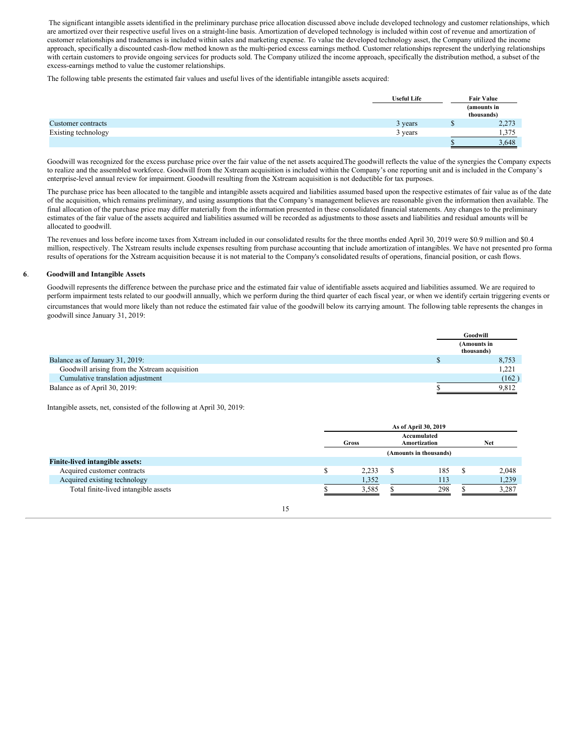The significant intangible assets identified in the preliminary purchase price allocation discussed above include developed technology and customer relationships, which are amortized over their respective useful lives on a straight-line basis. Amortization of developed technology is included within cost of revenue and amortization of customer relationships and tradenames is included within sales and marketing expense. To value the developed technology asset, the Company utilized the income approach, specifically a discounted cash-flow method known as the multi-period excess earnings method. Customer relationships represent the underlying relationships with certain customers to provide ongoing services for products sold. The Company utilized the income approach, specifically the distribution method, a subset of the excess-earnings method to value the customer relationships.

The following table presents the estimated fair values and useful lives of the identifiable intangible assets acquired:

|                     | <b>Useful Life</b> |    | <b>Fair Value</b>         |
|---------------------|--------------------|----|---------------------------|
|                     |                    |    | (amounts in<br>thousands) |
| Customer contracts  | 3 years            | ۰υ | 2,273                     |
| Existing technology | 3 years            |    | 1,375                     |
|                     |                    |    | 3,648                     |

Goodwill was recognized for the excess purchase price over the fair value of the net assets acquired.The goodwill reflects the value of the synergies the Company expects to realize and the assembled workforce. Goodwill from the Xstream acquisition is included within the Company's one reporting unit and is included in the Company's enterprise-level annual review for impairment. Goodwill resulting from the Xstream acquisition is not deductible for tax purposes.

The purchase price has been allocated to the tangible and intangible assets acquired and liabilities assumed based upon the respective estimates of fair value as of the date of the acquisition, which remains preliminary, and using assumptions that the Company's management believes are reasonable given the information then available. The final allocation of the purchase price may differ materially from the information presented in these consolidated financial statements. Any changes to the preliminary estimates of the fair value of the assets acquired and liabilities assumed will be recorded as adjustments to those assets and liabilities and residual amounts will be allocated to goodwill.

The revenues and loss before income taxes from Xstream included in our consolidated results for the three months ended April 30, 2019 were \$0.9 million and \$0.4 million, respectively. The Xstream results include expenses resulting from purchase accounting that include amortization of intangibles. We have not presented pro forma results of operations for the Xstream acquisition because it is not material to the Company's consolidated results of operations, financial position, or cash flows.

#### **6**. **Goodwill and Intangible Assets**

Goodwill represents the difference between the purchase price and the estimated fair value of identifiable assets acquired and liabilities assumed. We are required to perform impairment tests related to our goodwill annually, which we perform during the third quarter of each fiscal year, or when we identify certain triggering events or circumstances that would more likely than not reduce the estimated fair value of the goodwill below its carrying amount. The following table represents the changes in goodwill since January 31, 2019:

|                                               | Goodwill                  |       |
|-----------------------------------------------|---------------------------|-------|
|                                               | (Amounts in<br>thousands) |       |
| Balance as of January 31, 2019:               |                           | 8,753 |
| Goodwill arising from the Xstream acquisition |                           | 1,221 |
| Cumulative translation adjustment             |                           | (162) |
| Balance as of April 30, 2019:                 |                           | 9.812 |

Intangible assets, net, consisted of the following at April 30, 2019:

|                                        |                                      |       |  | As of April 30, 2019   |  |       |
|----------------------------------------|--------------------------------------|-------|--|------------------------|--|-------|
|                                        | Accumulated<br>Amortization<br>Gross |       |  | <b>Net</b>             |  |       |
|                                        |                                      |       |  | (Amounts in thousands) |  |       |
| <b>Finite-lived intangible assets:</b> |                                      |       |  |                        |  |       |
| Acquired customer contracts            |                                      | 2.233 |  | 185                    |  | 2,048 |
| Acquired existing technology           |                                      | 1,352 |  | 113                    |  | 1,239 |
| Total finite-lived intangible assets   |                                      | 3.585 |  | 298                    |  | 3.287 |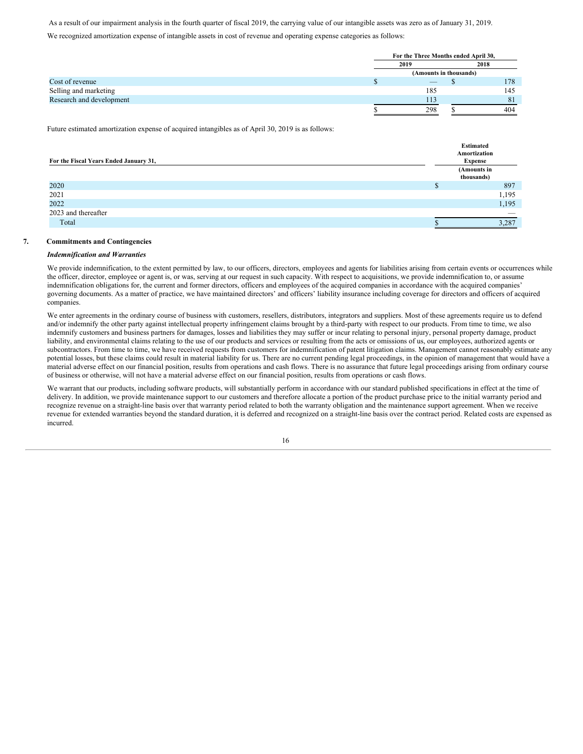As a result of our impairment analysis in the fourth quarter of fiscal 2019, the carrying value of our intangible assets was zero as of January 31, 2019.

We recognized amortization expense of intangible assets in cost of revenue and operating expense categories as follows:

|                          | For the Three Months ended April 30, |                        |      |
|--------------------------|--------------------------------------|------------------------|------|
|                          | 2019                                 |                        | 2018 |
|                          |                                      | (Amounts in thousands) |      |
| Cost of revenue          | $\overline{\phantom{a}}$             |                        | 178  |
| Selling and marketing    | 185                                  |                        | 145  |
| Research and development |                                      |                        | 81   |
|                          | 298                                  |                        | 404  |

Future estimated amortization expense of acquired intangibles as of April 30, 2019 is as follows:

|                                        | <b>Estimated</b><br>Amortization |
|----------------------------------------|----------------------------------|
| For the Fiscal Years Ended January 31, | <b>Expense</b>                   |
|                                        | (Amounts in<br>thousands)        |
| 2020                                   | 897                              |
| 2021                                   | 1,195                            |
| 2022                                   | 1,195                            |
| 2023 and thereafter                    | $\overline{\phantom{a}}$         |
| Total                                  | 3,287                            |

# **7. Commitments and Contingencies**

#### *Indemnification and Warranties*

We provide indemnification, to the extent permitted by law, to our officers, directors, employees and agents for liabilities arising from certain events or occurrences while the officer, director, employee or agent is, or was, serving at our request in such capacity. With respect to acquisitions, we provide indemnification to, or assume indemnification obligations for, the current and former directors, officers and employees of the acquired companies in accordance with the acquired companies' governing documents. As a matter of practice, we have maintained directors' and officers' liability insurance including coverage for directors and officers of acquired companies.

We enter agreements in the ordinary course of business with customers, resellers, distributors, integrators and suppliers. Most of these agreements require us to defend and/or indemnify the other party against intellectual property infringement claims brought by a third-party with respect to our products. From time to time, we also indemnify customers and business partners for damages, losses and liabilities they may suffer or incur relating to personal injury, personal property damage, product liability, and environmental claims relating to the use of our products and services or resulting from the acts or omissions of us, our employees, authorized agents or subcontractors. From time to time, we have received requests from customers for indemnification of patent litigation claims. Management cannot reasonably estimate any potential losses, but these claims could result in material liability for us. There are no current pending legal proceedings, in the opinion of management that would have a material adverse effect on our financial position, results from operations and cash flows. There is no assurance that future legal proceedings arising from ordinary course of business or otherwise, will not have a material adverse effect on our financial position, results from operations or cash flows.

We warrant that our products, including software products, will substantially perform in accordance with our standard published specifications in effect at the time of delivery. In addition, we provide maintenance support to our customers and therefore allocate a portion of the product purchase price to the initial warranty period and recognize revenue on a straight-line basis over that warranty period related to both the warranty obligation and the maintenance support agreement. When we receive revenue for extended warranties beyond the standard duration, it is deferred and recognized on a straight-line basis over the contract period. Related costs are expensed as incurred.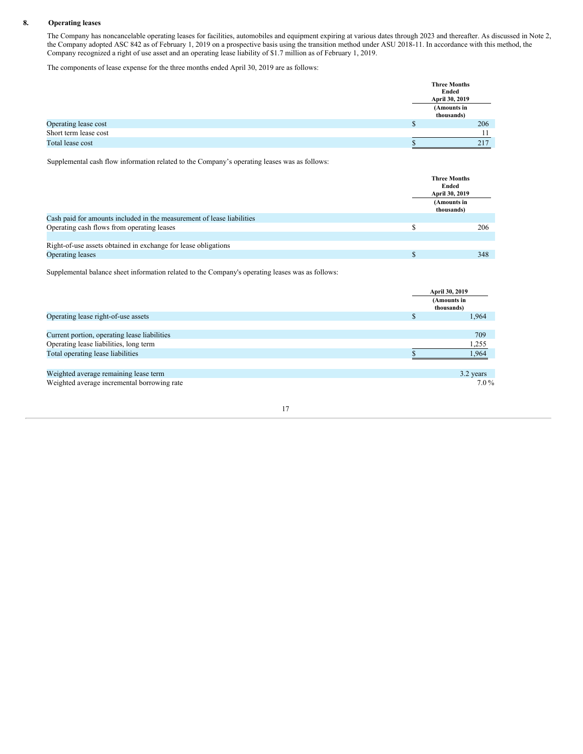# **8. Operating leases**

The Company has noncancelable operating leases for facilities, automobiles and equipment expiring at various dates through 2023 and thereafter. As discussed in Note 2, the Company adopted ASC 842 as of February 1, 2019 on a prospective basis using the transition method under ASU 2018-11. In accordance with this method, the Company recognized a right of use asset and an operating lease liability of \$1.7 million as of February 1, 2019.

The components of lease expense for the three months ended April 30, 2019 are as follows:

|                       | <b>Three Months</b>       |     |
|-----------------------|---------------------------|-----|
|                       | Ended                     |     |
|                       | April 30, 2019            |     |
|                       | (Amounts in<br>thousands) |     |
| Operating lease cost  | ۰D                        | 206 |
| Short term lease cost |                           |     |
| Total lease cost      |                           | 217 |

Supplemental cash flow information related to the Company's operating leases was as follows:

|                                                                        |   | <b>Three Months</b><br>Ended<br>April 30, 2019<br>(Amounts in |
|------------------------------------------------------------------------|---|---------------------------------------------------------------|
|                                                                        |   | thousands)                                                    |
| Cash paid for amounts included in the measurement of lease liabilities |   |                                                               |
| Operating cash flows from operating leases                             | S | 206                                                           |
|                                                                        |   |                                                               |
| Right-of-use assets obtained in exchange for lease obligations         |   |                                                               |
| <b>Operating leases</b>                                                |   | 348                                                           |

Supplemental balance sheet information related to the Company's operating leases was as follows:

|                                              | April 30, 2019<br>(Amounts in |
|----------------------------------------------|-------------------------------|
|                                              | thousands)                    |
| Operating lease right-of-use assets          | 1,964                         |
|                                              |                               |
| Current portion, operating lease liabilities | 709                           |
| Operating lease liabilities, long term       | 1,255                         |
| Total operating lease liabilities            | 1,964                         |
|                                              |                               |
| Weighted average remaining lease term        | 3.2 years                     |
| Weighted average incremental borrowing rate  | $7.0\%$                       |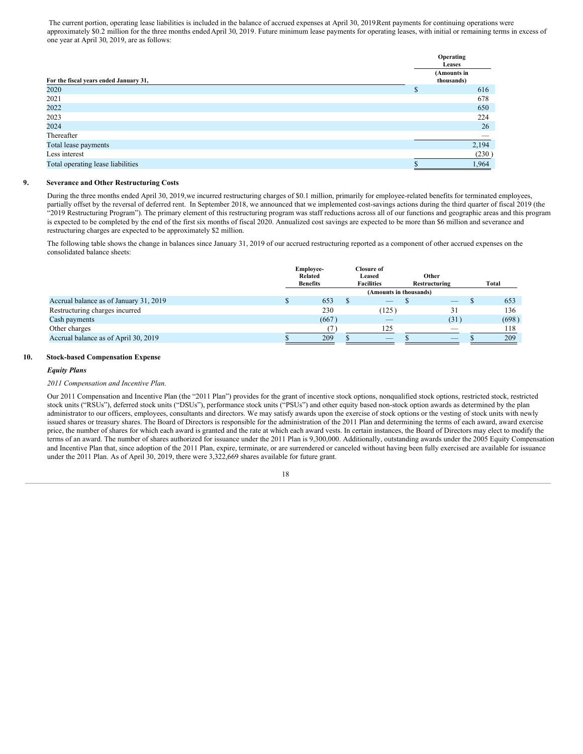The current portion, operating lease liabilities is included in the balance of accrued expenses at April 30, 2019.Rent payments for continuing operations were approximately \$0.2 million for the three months endedApril 30, 2019. Future minimum lease payments for operating leases, with initial or remaining terms in excess of one year at April 30, 2019, are as follows:

|                                        | Operating<br>Leases |                           |  |  |
|----------------------------------------|---------------------|---------------------------|--|--|
| For the fiscal years ended January 31, |                     | (Amounts in<br>thousands) |  |  |
| 2020                                   | \$.                 | 616                       |  |  |
| 2021                                   |                     | 678                       |  |  |
| 2022                                   |                     | 650                       |  |  |
| 2023                                   |                     | 224                       |  |  |
| 2024                                   |                     | 26                        |  |  |
| Thereafter                             |                     |                           |  |  |
| Total lease payments                   |                     | 2,194                     |  |  |
| Less interest                          |                     | (230)                     |  |  |
| Total operating lease liabilities      |                     | 1,964                     |  |  |

## **9. Severance and Other Restructuring Costs**

During the three months ended April 30, 2019, we incurred restructuring charges of \$0.1 million, primarily for employee-related benefits for terminated employees, partially offset by the reversal of deferred rent. In September 2018, we announced that we implemented cost-savings actions during the third quarter of fiscal 2019 (the "2019 Restructuring Program"). The primary element of this restructuring program was staff reductions across all of our functions and geographic areas and this program is expected to be completed by the end of the first six months of fiscal 2020. Annualized cost savings are expected to be more than \$6 million and severance and restructuring charges are expected to be approximately \$2 million.

The following table shows the change in balances since January 31, 2019 of our accrued restructuring reported as a component of other accrued expenses on the consolidated balance sheets:

|                                        | <b>Employee-</b><br><b>Related</b> |       |   | <b>Closure of</b><br>Leased | Other |                          |       |
|----------------------------------------|------------------------------------|-------|---|-----------------------------|-------|--------------------------|-------|
|                                        | <b>Benefits</b>                    |       |   | <b>Facilities</b>           |       | Restructuring            | Total |
|                                        |                                    |       |   | (Amounts in thousands)      |       |                          |       |
| Accrual balance as of January 31, 2019 |                                    | 653   | Ъ | $\overline{\phantom{a}}$    |       | _                        | 653   |
| Restructuring charges incurred         |                                    | 230   |   | (125)                       |       | 31                       | 136   |
| Cash payments                          |                                    | (667) |   | $\overline{\phantom{a}}$    |       | (31)                     | (698) |
| Other charges                          |                                    |       |   | 125                         |       | $\overline{\phantom{a}}$ | 118   |
| Accrual balance as of April 30, 2019   |                                    | 209   |   | $\qquad \qquad - \qquad$    |       | $-$                      | 209   |

## **10. Stock-based Compensation Expense**

## *Equity Plans*

#### *2011 Compensation and Incentive Plan.*

Our 2011 Compensation and Incentive Plan (the "2011 Plan") provides for the grant of incentive stock options, nonqualified stock options, restricted stock, restricted stock units ("RSUs"), deferred stock units ("DSUs"), performance stock units ("PSUs") and other equity based non-stock option awards as determined by the plan administrator to our officers, employees, consultants and directors. We may satisfy awards upon the exercise of stock options or the vesting of stock units with newly issued shares or treasury shares. The Board of Directors is responsible for the administration of the 2011 Plan and determining the terms of each award, award exercise price, the number of shares for which each award is granted and the rate at which each award vests. In certain instances, the Board of Directors may elect to modify the terms of an award. The number of shares authorized for issuance under the 2011 Plan is 9,300,000. Additionally, outstanding awards under the 2005 Equity Compensation and Incentive Plan that, since adoption of the 2011 Plan, expire, terminate, or are surrendered or canceled without having been fully exercised are available for issuance under the 2011 Plan. As of April 30, 2019, there were 3,322,669 shares available for future grant.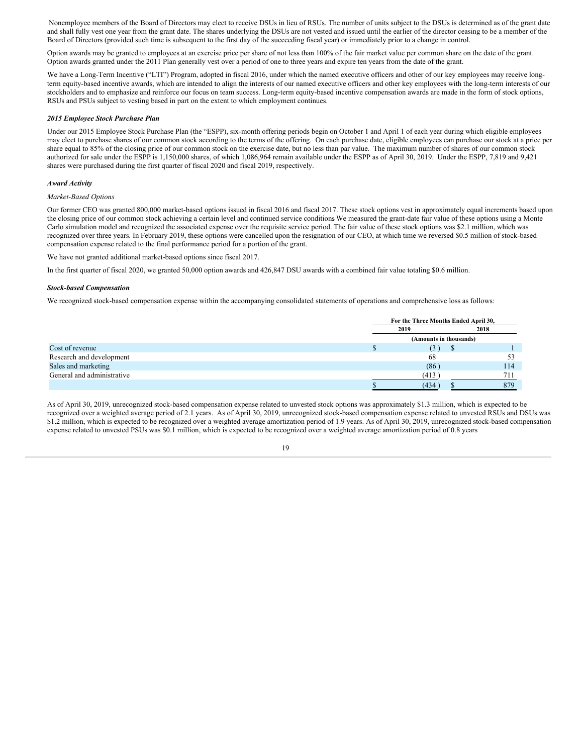Nonemployee members of the Board of Directors may elect to receive DSUs in lieu of RSUs. The number of units subject to the DSUs is determined as of the grant date and shall fully vest one year from the grant date. The shares underlying the DSUs are not vested and issued until the earlier of the director ceasing to be a member of the Board of Directors (provided such time is subsequent to the first day of the succeeding fiscal year) or immediately prior to a change in control.

Option awards may be granted to employees at an exercise price per share of not less than 100% of the fair market value per common share on the date of the grant. Option awards granted under the 2011 Plan generally vest over a period of one to three years and expire ten years from the date of the grant.

We have a Long-Term Incentive ("LTI") Program, adopted in fiscal 2016, under which the named executive officers and other of our key employees may receive longterm equity-based incentive awards, which are intended to align the interests of our named executive officers and other key employees with the long-term interests of our stockholders and to emphasize and reinforce our focus on team success. Long-term equity-based incentive compensation awards are made in the form of stock options, RSUs and PSUs subject to vesting based in part on the extent to which employment continues.

#### *2015 Employee Stock Purchase Plan*

Under our 2015 Employee Stock Purchase Plan (the "ESPP), six-month offering periods begin on October 1 and April 1 of each year during which eligible employees may elect to purchase shares of our common stock according to the terms of the offering. On each purchase date, eligible employees can purchase our stock at a price per share equal to 85% of the closing price of our common stock on the exercise date, but no less than par value. The maximum number of shares of our common stock authorized for sale under the ESPP is 1,150,000 shares, of which 1,086,964 remain available under the ESPP as of April 30, 2019. Under the ESPP, 7,819 and 9,421 shares were purchased during the first quarter of fiscal 2020 and fiscal 2019, respectively.

#### *Award Activity*

#### *Market-Based Options*

Our former CEO was granted 800,000 market-based options issued in fiscal 2016 and fiscal 2017. These stock options vest in approximately equal increments based upon the closing price of our common stock achieving a certain level and continued service conditions We measured the grant-date fair value of these options using a Monte Carlo simulation model and recognized the associated expense over the requisite service period. The fair value of these stock options was \$2.1 million, which was recognized over three years. In February 2019, these options were cancelled upon the resignation of our CEO, at which time we reversed \$0.5 million of stock-based compensation expense related to the final performance period for a portion of the grant.

We have not granted additional market-based options since fiscal 2017.

In the first quarter of fiscal 2020, we granted 50,000 option awards and 426,847 DSU awards with a combined fair value totaling \$0.6 million.

#### *Stock-based Compensation*

We recognized stock-based compensation expense within the accompanying consolidated statements of operations and comprehensive loss as follows:

|                            | For the Three Months Ended April 30, |    |      |  |  |  |
|----------------------------|--------------------------------------|----|------|--|--|--|
|                            | 2019                                 |    | 2018 |  |  |  |
|                            | (Amounts in thousands)               |    |      |  |  |  |
| Cost of revenue            | $\cdot$                              | ٨D |      |  |  |  |
| Research and development   | 68                                   |    |      |  |  |  |
| Sales and marketing        | (86)                                 |    | 114  |  |  |  |
| General and administrative | (413)                                |    | 711  |  |  |  |
|                            | (434                                 |    | 879  |  |  |  |

As of April 30, 2019, unrecognized stock-based compensation expense related to unvested stock options was approximately \$1.3 million, which is expected to be recognized over a weighted average period of 2.1 years. As of April 30, 2019, unrecognized stock-based compensation expense related to unvested RSUs and DSUs was \$1.2 million, which is expected to be recognized over a weighted average amortization period of 1.9 years. As of April 30, 2019, unrecognized stock-based compensation expense related to unvested PSUs was \$0.1 million, which is expected to be recognized over a weighted average amortization period of 0.8 years

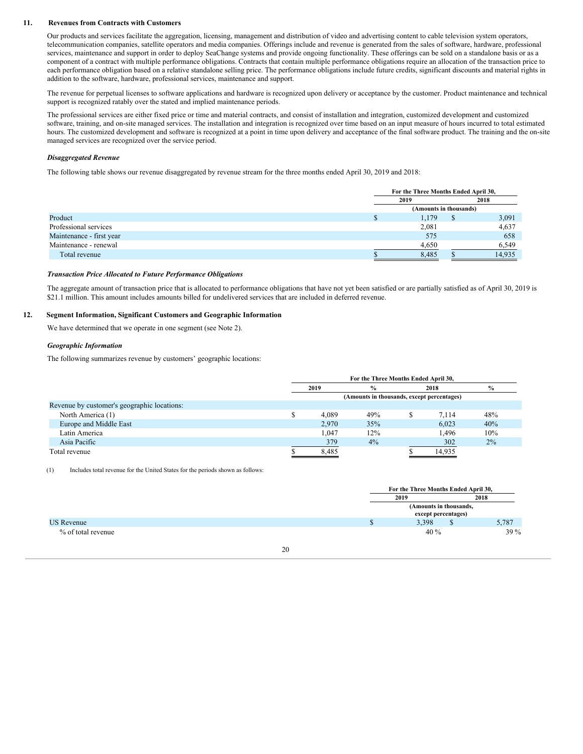## **11. Revenues from Contracts with Customers**

Our products and services facilitate the aggregation, licensing, management and distribution of video and advertising content to cable television system operators, telecommunication companies, satellite operators and media companies. Offerings include and revenue is generated from the sales of software, hardware, professional services, maintenance and support in order to deploy SeaChange systems and provide ongoing functionality. These offerings can be sold on a standalone basis or as a component of a contract with multiple performance obligations. Contracts that contain multiple performance obligations require an allocation of the transaction price to each performance obligation based on a relative standalone selling price. The performance obligations include future credits, significant discounts and material rights in addition to the software, hardware, professional services, maintenance and support.

The revenue for perpetual licenses to software applications and hardware is recognized upon delivery or acceptance by the customer. Product maintenance and technical support is recognized ratably over the stated and implied maintenance periods.

The professional services are either fixed price or time and material contracts, and consist of installation and integration, customized development and customized software, training, and on-site managed services. The installation and integration is recognized over time based on an input measure of hours incurred to total estimated hours. The customized development and software is recognized at a point in time upon delivery and acceptance of the final software product. The training and the on-site managed services are recognized over the service period.

#### *Disaggregated Revenue*

The following table shows our revenue disaggregated by revenue stream for the three months ended April 30, 2019 and 2018:

|                          | For the Three Months Ended April 30, |              |        |  |  |  |
|--------------------------|--------------------------------------|--------------|--------|--|--|--|
|                          | 2019                                 |              | 2018   |  |  |  |
|                          | (Amounts in thousands)               |              |        |  |  |  |
| Product                  | 1.179                                | <sup>S</sup> | 3,091  |  |  |  |
| Professional services    | 2,081                                |              | 4,637  |  |  |  |
| Maintenance - first year | 575                                  |              | 658    |  |  |  |
| Maintenance - renewal    | 4,650                                |              | 6,549  |  |  |  |
| Total revenue            | 8,485                                |              | 14,935 |  |  |  |

#### *Transaction Price Allocated to Future Performance Obligations*

The aggregate amount of transaction price that is allocated to performance obligations that have not yet been satisfied or are partially satisfied as of April 30, 2019 is \$21.1 million. This amount includes amounts billed for undelivered services that are included in deferred revenue.

# **12. Segment Information, Significant Customers and Geographic Information**

We have determined that we operate in one segment (see Note 2).

#### *Geographic Information*

The following summarizes revenue by customers' geographic locations:

|                                             | For the Three Months Ended April 30,       |               |      |        |               |  |  |  |  |
|---------------------------------------------|--------------------------------------------|---------------|------|--------|---------------|--|--|--|--|
|                                             | 2019                                       | $\frac{0}{0}$ | 2018 |        | $\frac{0}{0}$ |  |  |  |  |
|                                             | (Amounts in thousands, except percentages) |               |      |        |               |  |  |  |  |
| Revenue by customer's geographic locations: |                                            |               |      |        |               |  |  |  |  |
| North America (1)                           | 4.089                                      | 49%           |      | 7.114  | 48%           |  |  |  |  |
| Europe and Middle East                      | 2.970                                      | 35%           |      | 6.023  | 40%           |  |  |  |  |
| Latin America                               | 1.047                                      | 12%           |      | .496   | 10%           |  |  |  |  |
| Asia Pacific                                | 379                                        | 4%            |      | 302    | $2\%$         |  |  |  |  |
| Total revenue                               | 8.485                                      |               |      | 14,935 |               |  |  |  |  |

(1) Includes total revenue for the United States for the periods shown as follows:

|                    |    |    | For the Three Months Ended April 30,          |   |       |  |  |  |
|--------------------|----|----|-----------------------------------------------|---|-------|--|--|--|
|                    |    |    | 2018<br>2019                                  |   |       |  |  |  |
|                    |    |    | (Amounts in thousands,<br>except percentages) |   |       |  |  |  |
| <b>US</b> Revenue  |    | ъĐ | 3,398                                         | D | 5,787 |  |  |  |
| % of total revenue |    |    | $40\%$                                        |   | 39%   |  |  |  |
|                    | 20 |    |                                               |   |       |  |  |  |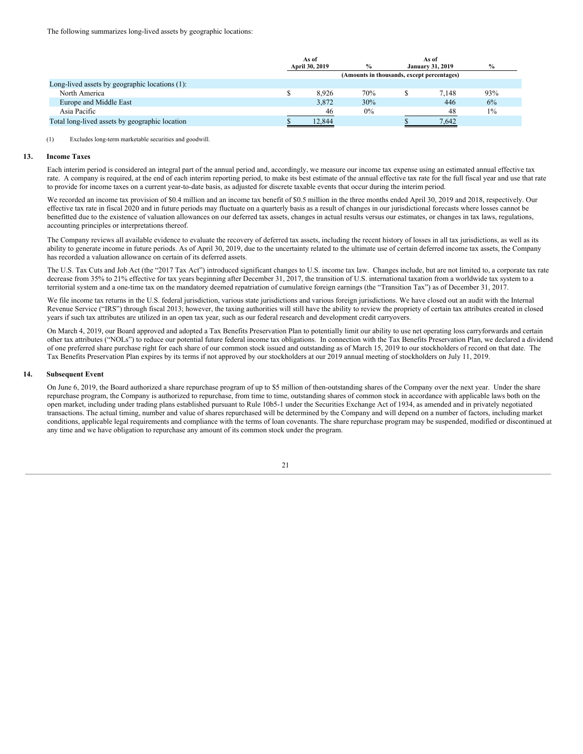The following summarizes long-lived assets by geographic locations:

|                                                | As of                                      |                |               |                         | As of |               |  |  |  |
|------------------------------------------------|--------------------------------------------|----------------|---------------|-------------------------|-------|---------------|--|--|--|
|                                                |                                            | April 30, 2019 | $\frac{0}{0}$ | <b>January 31, 2019</b> |       | $\frac{0}{0}$ |  |  |  |
|                                                | (Amounts in thousands, except percentages) |                |               |                         |       |               |  |  |  |
| Long-lived assets by geographic locations (1): |                                            |                |               |                         |       |               |  |  |  |
| North America                                  |                                            | 8.926          | 70%           |                         | 7.148 | 93%           |  |  |  |
| Europe and Middle East                         |                                            | 3.872          | 30%           |                         | 446   | 6%            |  |  |  |
| Asia Pacific                                   |                                            | 46             | $0\%$         |                         | 48    | $1\%$         |  |  |  |
| Total long-lived assets by geographic location |                                            | 12.844         |               |                         | 7.642 |               |  |  |  |

#### (1) Excludes long-term marketable securities and goodwill.

#### **13. Income Taxes**

Each interim period is considered an integral part of the annual period and, accordingly, we measure our income tax expense using an estimated annual effective tax rate. A company is required, at the end of each interim reporting period, to make its best estimate of the annual effective tax rate for the full fiscal year and use that rate to provide for income taxes on a current year-to-date basis, as adjusted for discrete taxable events that occur during the interim period.

We recorded an income tax provision of \$0.4 million and an income tax benefit of \$0.5 million in the three months ended April 30, 2019 and 2018, respectively. Our effective tax rate in fiscal 2020 and in future periods may fluctuate on a quarterly basis as a result of changes in our jurisdictional forecasts where losses cannot be benefitted due to the existence of valuation allowances on our deferred tax assets, changes in actual results versus our estimates, or changes in tax laws, regulations, accounting principles or interpretations thereof.

The Company reviews all available evidence to evaluate the recovery of deferred tax assets, including the recent history of losses in all tax jurisdictions, as well as its ability to generate income in future periods. As of April 30, 2019, due to the uncertainty related to the ultimate use of certain deferred income tax assets, the Company has recorded a valuation allowance on certain of its deferred assets.

The U.S. Tax Cuts and Job Act (the "2017 Tax Act") introduced significant changes to U.S. income tax law. Changes include, but are not limited to, a corporate tax rate decrease from 35% to 21% effective for tax years beginning after December 31, 2017, the transition of U.S. international taxation from a worldwide tax system to a territorial system and a one-time tax on the mandatory deemed repatriation of cumulative foreign earnings (the "Transition Tax") as of December 31, 2017.

We file income tax returns in the U.S. federal jurisdiction, various state jurisdictions and various foreign jurisdictions. We have closed out an audit with the Internal Revenue Service ("IRS") through fiscal 2013; however, the taxing authorities will still have the ability to review the propriety of certain tax attributes created in closed years if such tax attributes are utilized in an open tax year, such as our federal research and development credit carryovers.

On March 4, 2019, our Board approved and adopted a Tax Benefits Preservation Plan to potentially limit our ability to use net operating loss carryforwards and certain other tax attributes ("NOLs") to reduce our potential future federal income tax obligations. In connection with the Tax Benefits Preservation Plan, we declared a dividend of one preferred share purchase right for each share of our common stock issued and outstanding as of March 15, 2019 to our stockholders of record on that date. The Tax Benefits Preservation Plan expires by its terms if not approved by our stockholders at our 2019 annual meeting of stockholders on July 11, 2019.

#### **14. Subsequent Event**

On June 6, 2019, the Board authorized a share repurchase program of up to \$5 million of then-outstanding shares of the Company over the next year. Under the share repurchase program, the Company is authorized to repurchase, from time to time, outstanding shares of common stock in accordance with applicable laws both on the open market, including under trading plans established pursuant to Rule 10b5-1 under the Securities Exchange Act of 1934, as amended and in privately negotiated transactions. The actual timing, number and value of shares repurchased will be determined by the Company and will depend on a number of factors, including market conditions, applicable legal requirements and compliance with the terms of loan covenants. The share repurchase program may be suspended, modified or discontinued at any time and we have obligation to repurchase any amount of its common stock under the program.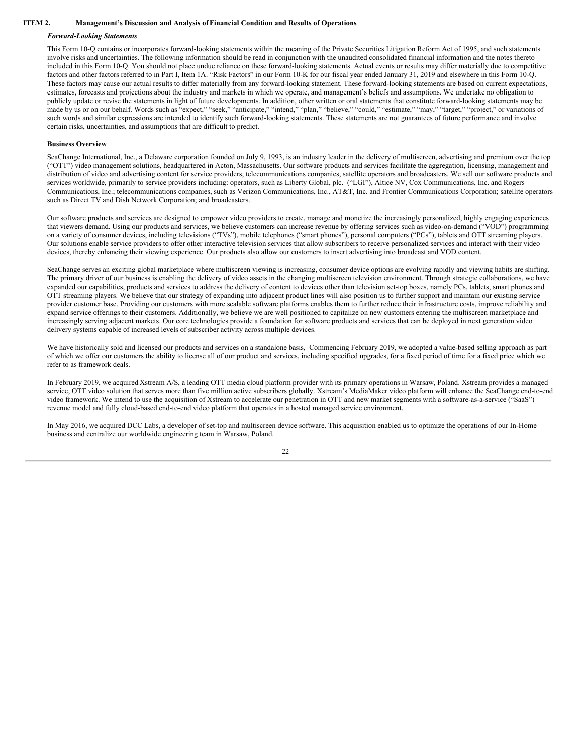#### **ITEM 2. Management's Discussion and Analysis ofFinancial Condition and Results of Operations**

#### <span id="page-22-0"></span>*Forward-Looking Statements*

This Form 10-Q contains or incorporates forward-looking statements within the meaning of the Private Securities Litigation Reform Act of 1995, and such statements involve risks and uncertainties. The following information should be read in conjunction with the unaudited consolidated financial information and the notes thereto included in this Form 10-Q. You should not place undue reliance on these forward-looking statements. Actual events or results may differ materially due to competitive factors and other factors referred to in Part I, Item 1A. "Risk Factors" in our Form 10-K for our fiscal year ended January 31, 2019 and elsewhere in this Form 10-Q. These factors may cause our actual results to differ materially from any forward-looking statement. These forward-looking statements are based on current expectations, estimates, forecasts and projections about the industry and markets in which we operate, and management's beliefs and assumptions. We undertake no obligation to publicly update or revise the statements in light of future developments. In addition, other written or oral statements that constitute forward-looking statements may be made by us or on our behalf. Words such as "expect," "seek," "anticipate," "intend," "plan," "believe," "could," "estimate," "may," "target," "project," or variations of such words and similar expressions are intended to identify such forward-looking statements. These statements are not guarantees of future performance and involve certain risks, uncertainties, and assumptions that are difficult to predict.

#### **Business Overview**

SeaChange International, Inc., a Delaware corporation founded on July 9, 1993, is an industry leader in the delivery of multiscreen, advertising and premium over the top ("OTT") video management solutions, headquartered in Acton, Massachusetts. Our software products and services facilitate the aggregation, licensing, management and distribution of video and advertising content for service providers, telecommunications companies, satellite operators and broadcasters. We sell our software products and services worldwide, primarily to service providers including: operators, such as Liberty Global, plc. ("LGI"), Altice NV, Cox Communications, Inc. and Rogers Communications, Inc.; telecommunications companies, such as Verizon Communications, Inc., AT&T, Inc. and Frontier Communications Corporation; satellite operators such as Direct TV and Dish Network Corporation; and broadcasters.

Our software products and services are designed to empower video providers to create, manage and monetize the increasingly personalized, highly engaging experiences that viewers demand. Using our products and services, we believe customers can increase revenue by offering services such as video-on-demand ("VOD") programming on a variety of consumer devices, including televisions ("TVs"), mobile telephones ("smart phones"), personal computers ("PCs"), tablets and OTT streaming players. Our solutions enable service providers to offer other interactive television services that allow subscribers to receive personalized services and interact with their video devices, thereby enhancing their viewing experience. Our products also allow our customers to insert advertising into broadcast and VOD content.

SeaChange serves an exciting global marketplace where multiscreen viewing is increasing, consumer device options are evolving rapidly and viewing habits are shifting. The primary driver of our business is enabling the delivery of video assets in the changing multiscreen television environment. Through strategic collaborations, we have expanded our capabilities, products and services to address the delivery of content to devices other than television set-top boxes, namely PCs, tablets, smart phones and OTT streaming players. We believe that our strategy of expanding into adjacent product lines will also position us to further support and maintain our existing service provider customer base. Providing our customers with more scalable software platforms enables them to further reduce their infrastructure costs, improve reliability and expand service offerings to their customers. Additionally, we believe we are well positioned to capitalize on new customers entering the multiscreen marketplace and increasingly serving adjacent markets. Our core technologies provide a foundation for software products and services that can be deployed in next generation video delivery systems capable of increased levels of subscriber activity across multiple devices.

We have historically sold and licensed our products and services on a standalone basis, Commencing February 2019, we adopted a value-based selling approach as part of which we offer our customers the ability to license all of our product and services, including specified upgrades, for a fixed period of time for a fixed price which we refer to as framework deals.

In February 2019, we acquired Xstream A/S, a leading OTT media cloud platform provider with its primary operations in Warsaw, Poland. Xstream provides a managed service, OTT video solution that serves more than five million active subscribers globally. Xstream's MediaMaker video platform will enhance the SeaChange end-to-end video framework. We intend to use the acquisition of Xstream to accelerate our penetration in OTT and new market segments with a software-as-a-service ("SaaS") revenue model and fully cloud-based end-to-end video platform that operates in a hosted managed service environment.

In May 2016, we acquired DCC Labs, a developer of set-top and multiscreen device software. This acquisition enabled us to optimize the operations of our In-Home business and centralize our worldwide engineering team in Warsaw, Poland.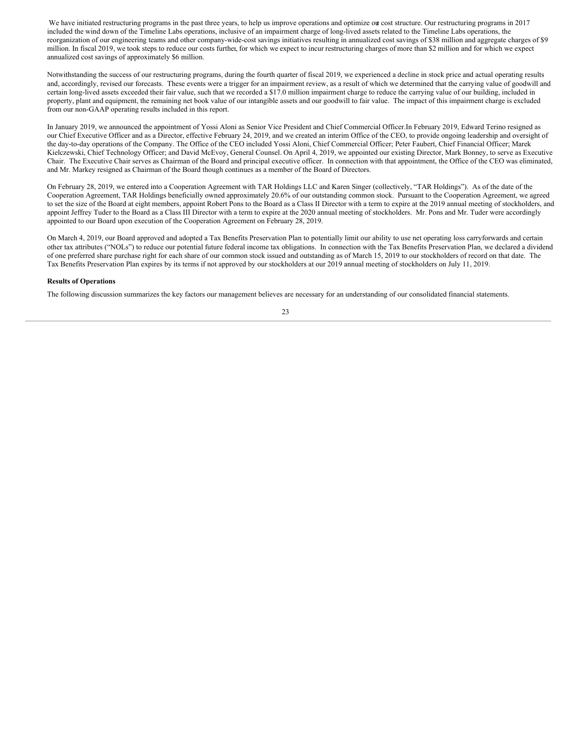We have initiated restructuring programs in the past three years, to help us improve operations and optimize our cost structure. Our restructuring programs in 2017 included the wind down of the Timeline Labs operations, inclusive of an impairment charge of long-lived assets related to the Timeline Labs operations, the reorganization of our engineering teams and other company-wide-cost savings initiatives resulting in annualized cost savings of \$38 million and aggregate charges of \$9 million. In fiscal 2019, we took steps to reduce our costs further, for which we expect to incur restructuring charges of more than \$2 million and for which we expect annualized cost savings of approximately \$6 million.

Notwithstanding the success of our restructuring programs, during the fourth quarter of fiscal 2019, we experienced a decline in stock price and actual operating results and, accordingly, revised our forecasts. These events were a trigger for an impairment review, as a result of which we determined that the carrying value of goodwill and certain long-lived assets exceeded their fair value, such that we recorded a \$17.0 million impairment charge to reduce the carrying value of our building, included in property, plant and equipment, the remaining net book value of our intangible assets and our goodwill to fair value. The impact of this impairment charge is excluded from our non-GAAP operating results included in this report.

In January 2019, we announced the appointment of Yossi Aloni as Senior Vice President and Chief Commercial Officer.In February 2019, Edward Terino resigned as our Chief Executive Officer and as a Director, effective February 24, 2019, and we created an interim Office of the CEO, to provide ongoing leadership and oversight of the day-to-day operations of the Company. The Office of the CEO included Yossi Aloni, Chief Commercial Officer; Peter Faubert, Chief Financial Officer; Marek Kielczewski, Chief Technology Officer; and David McEvoy, General Counsel. On April 4, 2019, we appointed our existing Director, Mark Bonney, to serve as Executive Chair. The Executive Chair serves as Chairman of the Board and principal executive officer. In connection with that appointment, the Office of the CEO was eliminated, and Mr. Markey resigned as Chairman of the Board though continues as a member of the Board of Directors.

On February 28, 2019, we entered into a Cooperation Agreement with TAR Holdings LLC and Karen Singer (collectively, "TAR Holdings"). As of the date of the Cooperation Agreement, TAR Holdings beneficially owned approximately 20.6% of our outstanding common stock. Pursuant to the Cooperation Agreement, we agreed to set the size of the Board at eight members, appoint Robert Pons to the Board as a Class II Director with a term to expire at the 2019 annual meeting of stockholders, and appoint Jeffrey Tuder to the Board as a Class III Director with a term to expire at the 2020 annual meeting of stockholders. Mr. Pons and Mr. Tuder were accordingly appointed to our Board upon execution of the Cooperation Agreement on February 28, 2019.

On March 4, 2019, our Board approved and adopted a Tax Benefits Preservation Plan to potentially limit our ability to use net operating loss carryforwards and certain other tax attributes ("NOLs") to reduce our potential future federal income tax obligations. In connection with the Tax Benefits Preservation Plan, we declared a dividend of one preferred share purchase right for each share of our common stock issued and outstanding as of March 15, 2019 to our stockholders of record on that date. The Tax Benefits Preservation Plan expires by its terms if not approved by our stockholders at our 2019 annual meeting of stockholders on July 11, 2019.

# **Results of Operations**

The following discussion summarizes the key factors our management believes are necessary for an understanding of our consolidated financial statements.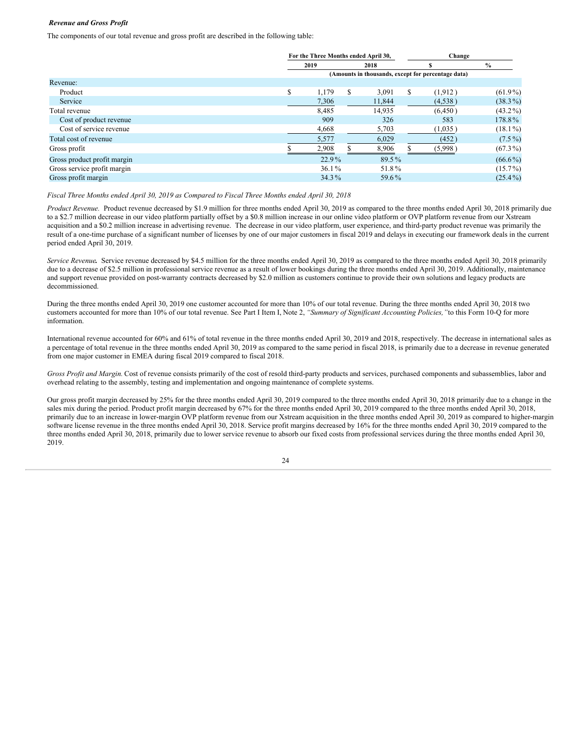## *Revenue and Gross Profit*

The components of our total revenue and gross profit are described in the following table:

|                             |                                                    | For the Three Months ended April 30, |               |        |     | Change   |            |  |  |
|-----------------------------|----------------------------------------------------|--------------------------------------|---------------|--------|-----|----------|------------|--|--|
|                             |                                                    | 2019                                 | 2018          |        |     |          | $\%$       |  |  |
|                             | (Amounts in thousands, except for percentage data) |                                      |               |        |     |          |            |  |  |
| Revenue:                    |                                                    |                                      |               |        |     |          |            |  |  |
| Product                     | \$                                                 | 1,179                                | <sup>\$</sup> | 3,091  | \$. | (1,912)  | $(61.9\%)$ |  |  |
| Service                     |                                                    | 7,306                                |               | 11,844 |     | (4,538)  | $(38.3\%)$ |  |  |
| Total revenue               |                                                    | 8,485                                |               | 14,935 |     | (6, 450) | $(43.2\%)$ |  |  |
| Cost of product revenue     |                                                    | 909                                  |               | 326    |     | 583      | 178.8%     |  |  |
| Cost of service revenue     |                                                    | 4,668                                |               | 5,703  |     | (1,035)  | $(18.1\%)$ |  |  |
| Total cost of revenue       |                                                    | 5,577                                |               | 6,029  |     | (452)    | $(7.5\%)$  |  |  |
| Gross profit                |                                                    | 2,908                                |               | 8,906  |     | (5,998)  | $(67.3\%)$ |  |  |
| Gross product profit margin |                                                    | 22.9%                                |               | 89.5%  |     |          | $(66.6\%)$ |  |  |
| Gross service profit margin |                                                    | $36.1\%$                             |               | 51.8%  |     |          | $(15.7\%)$ |  |  |
| Gross profit margin         |                                                    | 34.3%                                |               | 59.6%  |     |          | $(25.4\%)$ |  |  |

#### *Fiscal Three Months ended April 30, 2019 as Compared to Fiscal Three Months ended April 30, 2018*

*Product Revenue.* Product revenue decreased by \$1.9 million for three months ended April 30, 2019 as compared to the three months ended April 30, 2018 primarily due to a \$2.7 million decrease in our video platform partially offset by a \$0.8 million increase in our online video platform or OVP platform revenue from our Xstream acquisition and a \$0.2 million increase in advertising revenue. The decrease in our video platform, user experience, and third-party product revenue was primarily the result of a one-time purchase of a significant number of licenses by one of our major customers in fiscal 2019 and delays in executing our framework deals in the current period ended April 30, 2019.

*Service Revenue.* Service revenue decreased by \$4.5 million for the three months ended April 30, 2019 as compared to the three months ended April 30, 2018 primarily due to a decrease of \$2.5 million in professional service revenue as a result of lower bookings during the three months ended April 30, 2019. Additionally, maintenance and support revenue provided on post-warranty contracts decreased by \$2.0 million as customers continue to provide their own solutions and legacy products are decommissioned.

During the three months ended April 30, 2019 one customer accounted for more than 10% of our total revenue. During the three months ended April 30, 2018 two customers accounted for more than 10% of our total revenue. See Part I Item I, Note 2, *"Summary of Significant Accounting Policies,"*to this Form 10-Q for more information.

International revenue accounted for 60% and 61% of total revenue in the three months ended April 30, 2019 and 2018, respectively. The decrease in international sales as a percentage of total revenue in the three months ended April 30, 2019 as compared to the same period in fiscal 2018, is primarily due to a decrease in revenue generated from one major customer in EMEA during fiscal 2019 compared to fiscal 2018.

*Gross Profit and Margin.* Cost of revenue consists primarily of the cost of resold third-party products and services, purchased components and subassemblies, labor and overhead relating to the assembly, testing and implementation and ongoing maintenance of complete systems.

Our gross profit margin decreased by 25% for the three months ended April 30, 2019 compared to the three months ended April 30, 2018 primarily due to a change in the sales mix during the period. Product profit margin decreased by 67% for the three months ended April 30, 2019 compared to the three months ended April 30, 2018, primarily due to an increase in lower-margin OVP platform revenue from our Xstream acquisition in the three months ended April 30, 2019 as compared to higher-margin software license revenue in the three months ended April 30, 2018. Service profit margins decreased by 16% for the three months ended April 30, 2019 compared to the three months ended April 30, 2018, primarily due to lower service revenue to absorb our fixed costs from professional services during the three months ended April 30, 2019.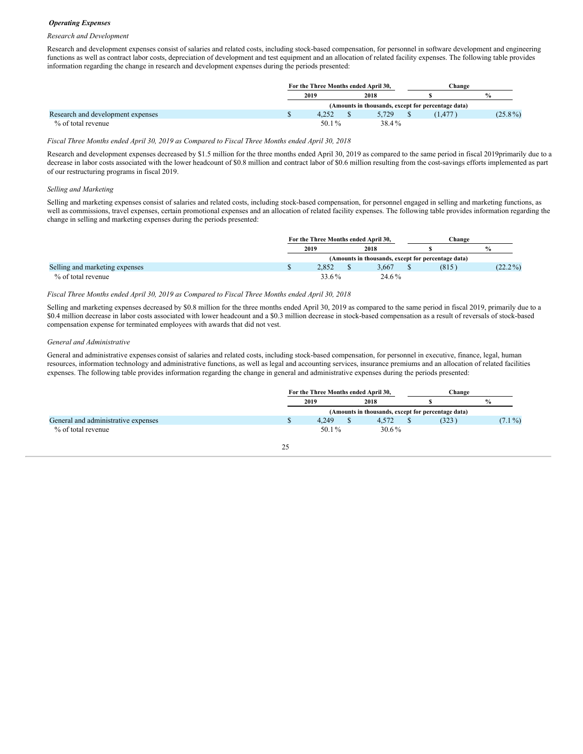# *Operating Expenses*

## *Research and Development*

Research and development expenses consist of salaries and related costs, including stock-based compensation, for personnel in software development and engineering functions as well as contract labor costs, depreciation of development and test equipment and an allocation of related facility expenses. The following table provides information regarding the change in research and development expenses during the periods presented:

|                                   | For the Three Months ended April 30.               |  |       |  | Change |               |  |  |
|-----------------------------------|----------------------------------------------------|--|-------|--|--------|---------------|--|--|
|                                   | 2019                                               |  | 2018  |  |        | $\frac{0}{2}$ |  |  |
|                                   | (Amounts in thousands, except for percentage data) |  |       |  |        |               |  |  |
| Research and development expenses | 4.252                                              |  | 5.729 |  | (1.477 | $(25.8\%)$    |  |  |
| % of total revenue                | 50.1%                                              |  | 38.4% |  |        |               |  |  |

#### *Fiscal Three Months ended April 30, 2019 as Compared to Fiscal Three Months ended April 30, 2018*

Research and development expenses decreased by \$1.5 million for the three months ended April 30, 2019 as compared to the same period in fiscal 2019 primarily due to a decrease in labor costs associated with the lower headcount of \$0.8 million and contract labor of \$0.6 million resulting from the cost-savings efforts implemented as part of our restructuring programs in fiscal 2019.

#### *Selling and Marketing*

Selling and marketing expenses consist of salaries and related costs, including stock-based compensation, for personnel engaged in selling and marketing functions, as well as commissions, travel expenses, certain promotional expenses and an allocation of related facility expenses. The following table provides information regarding the change in selling and marketing expenses during the periods presented:

|                                |                                                    | For the Three Months ended April 30. |  |       |  | Change |               |  |  |
|--------------------------------|----------------------------------------------------|--------------------------------------|--|-------|--|--------|---------------|--|--|
|                                |                                                    | 2019                                 |  | 2018  |  |        | $\frac{0}{0}$ |  |  |
|                                | (Amounts in thousands, except for percentage data) |                                      |  |       |  |        |               |  |  |
| Selling and marketing expenses |                                                    | 2.852                                |  | 3.667 |  | (815)  | $(22.2\%)$    |  |  |
| % of total revenue             |                                                    | 33.6%                                |  | 24.6% |  |        |               |  |  |

# *Fiscal Three Months ended April 30, 2019 as Compared to Fiscal Three Months ended April 30, 2018*

Selling and marketing expenses decreased by \$0.8 million for the three months ended April 30, 2019 as compared to the same period in fiscal 2019, primarily due to a \$0.4 million decrease in labor costs associated with lower headcount and a \$0.3 million decrease in stock-based compensation as a result of reversals of stock-based compensation expense for terminated employees with awards that did not vest.

#### *General and Administrative*

General and administrative expenses consist of salaries and related costs, including stock-based compensation, for personnel in executive, finance, legal, human resources, information technology and administrative functions, as well as legal and accounting services, insurance premiums and an allocation of related facilities expenses. The following table provides information regarding the change in general and administrative expenses during the periods presented:

|                                     | For the Three Months ended April 30,               |  |          |  | Change |               |  |  |
|-------------------------------------|----------------------------------------------------|--|----------|--|--------|---------------|--|--|
|                                     | 2019                                               |  | 2018     |  |        | $\frac{0}{0}$ |  |  |
|                                     | (Amounts in thousands, except for percentage data) |  |          |  |        |               |  |  |
| General and administrative expenses | 4.249                                              |  | 4.572    |  | (323)  | $(7.1\%)$     |  |  |
| % of total revenue                  | 50.1%                                              |  | $30.6\%$ |  |        |               |  |  |

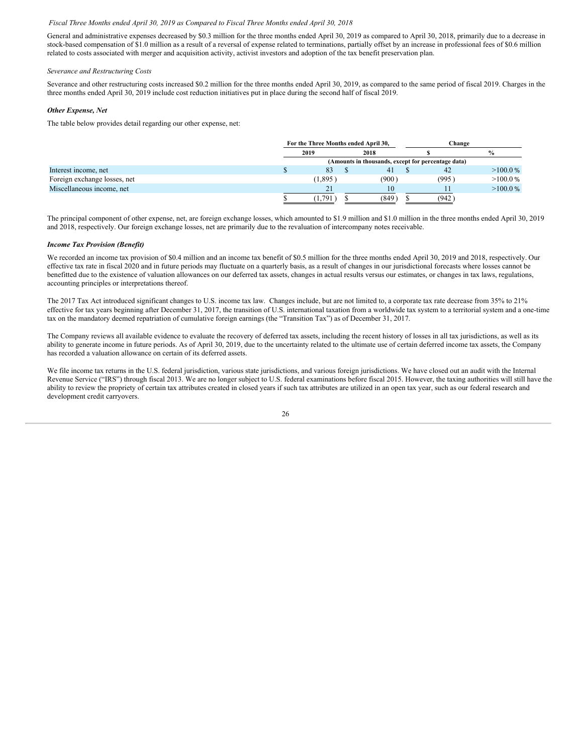#### *Fiscal Three Months ended April 30, 2019 as Compared to Fiscal Three Months ended April 30, 2018*

General and administrative expenses decreased by \$0.3 million for the three months ended April 30, 2019 as compared to April 30, 2018, primarily due to a decrease in stock-based compensation of \$1.0 million as a result of a reversal of expense related to terminations, partially offset by an increase in professional fees of \$0.6 million related to costs associated with merger and acquisition activity, activist investors and adoption of the tax benefit preservation plan.

#### *Severance and Restructuring Costs*

Severance and other restructuring costs increased \$0.2 million for the three months ended April 30, 2019, as compared to the same period of fiscal 2019. Charges in the three months ended April 30, 2019 include cost reduction initiatives put in place during the second half of fiscal 2019.

#### *Other Expense, Net*

The table below provides detail regarding our other expense, net:

|                              |  | For the Three Months ended April 30,               |  |       |  | Change |            |  |  |  |               |
|------------------------------|--|----------------------------------------------------|--|-------|--|--------|------------|--|--|--|---------------|
|                              |  | 2019                                               |  | 2018  |  |        |            |  |  |  | $\frac{6}{9}$ |
|                              |  | (Amounts in thousands, except for percentage data) |  |       |  |        |            |  |  |  |               |
| Interest income, net         |  | 83                                                 |  | 41    |  | 42     | $>100.0\%$ |  |  |  |               |
| Foreign exchange losses, net |  | (1,895)                                            |  | (900) |  | (995)  | $>100.0\%$ |  |  |  |               |
| Miscellaneous income, net    |  |                                                    |  | 10    |  |        | $>100.0\%$ |  |  |  |               |
|                              |  | (1,791)                                            |  | (849) |  | (942)  |            |  |  |  |               |

The principal component of other expense, net, are foreign exchange losses, which amounted to \$1.9 million and \$1.0 million in the three months ended April 30, 2019 and 2018, respectively. Our foreign exchange losses, net are primarily due to the revaluation of intercompany notes receivable.

#### *Income Tax Provision (Benefit)*

We recorded an income tax provision of \$0.4 million and an income tax benefit of \$0.5 million for the three months ended April 30, 2019 and 2018, respectively. Our effective tax rate in fiscal 2020 and in future periods may fluctuate on a quarterly basis, as a result of changes in our jurisdictional forecasts where losses cannot be benefitted due to the existence of valuation allowances on our deferred tax assets, changes in actual results versus our estimates, or changes in tax laws, regulations, accounting principles or interpretations thereof.

The 2017 Tax Act introduced significant changes to U.S. income tax law. Changes include, but are not limited to, a corporate tax rate decrease from 35% to 21% effective for tax years beginning after December 31, 2017, the transition of U.S. international taxation from a worldwide tax system to a territorial system and a one-time tax on the mandatory deemed repatriation of cumulative foreign earnings (the "Transition Tax") as of December 31, 2017.

The Company reviews all available evidence to evaluate the recovery of deferred tax assets, including the recent history of losses in all tax jurisdictions, as well as its ability to generate income in future periods. As of April 30, 2019, due to the uncertainty related to the ultimate use of certain deferred income tax assets, the Company has recorded a valuation allowance on certain of its deferred assets.

We file income tax returns in the U.S. federal jurisdiction, various state jurisdictions, and various foreign jurisdictions. We have closed out an audit with the Internal Revenue Service ("IRS") through fiscal 2013. We are no longer subject to U.S. federal examinations before fiscal 2015. However, the taxing authorities will still have the ability to review the propriety of certain tax attributes created in closed years if such tax attributes are utilized in an open tax year, such as our federal research and development credit carryovers.

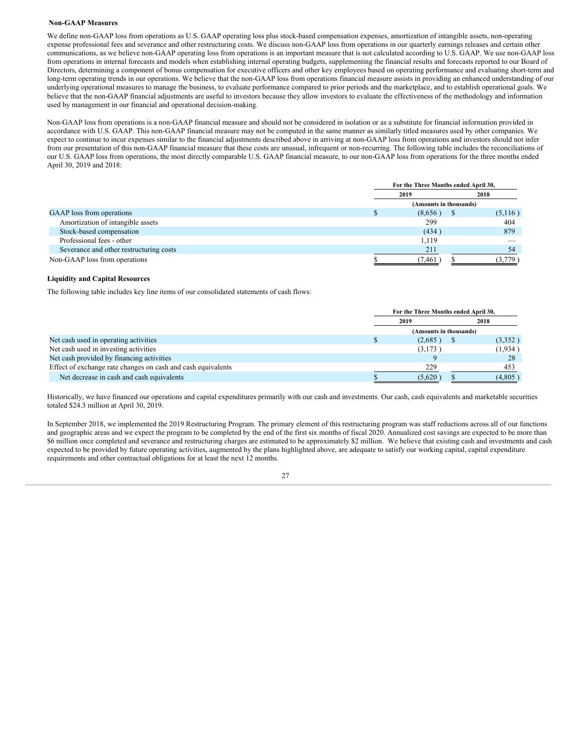### **Non-GAAP Measures**

We define non-GAAP loss from operations as U.S. GAAP operating loss plus stock-based compensation expenses, amortization of intangible assets, non-operating expense professional fees and severance and other restructuring costs. We discuss non-GAAP loss from operations in our quarterly earnings releases and certain other communications, as we believe non-GAAP operating loss from operations is an important measure that is not calculated according to U.S. GAAP. We use non-GAAP loss from operations in internal forecasts and models when establishing internal operating budgets, supplementing the financial results and forecasts reported to our Board of Directors, determining a component of bonus compensation for executive officers and other key employees based on operating performance and evaluating short-term and long-term operating trends in our operations. We believe that the non-GAAP loss from operations financial measure assists in providing an enhanced understanding of our underlying operational measures to manage the business, to evaluate performance compared to prior periods and the marketplace, and to establish operational goals. We believe that the non-GAAP financial adjustments are useful to investors because they allow investors to evaluate the effectiveness of the methodology and information used by management in our financial and operational decision-making.

Non-GAAP loss from operations is a non-GAAP financial measure and should not be considered in isolation or as a substitute for financial information provided in accordance with U.S. GAAP. This non-GAAP financial measure may not be computed in the same manner as similarly titled measures used by other companies. We expect to continue to incur expenses similar to the financial adjustments described above in arriving at non-GAAP loss from operations and investors should not infer from our presentation of this non-GAAP financial measure that these costs are unusual, infrequent or non-recurring. The following table includes the reconciliations of our U.S. GAAP loss from operations, the most directly comparable U.S. GAAP financial measure, to our non-GAAP loss from operations for the three months ended April 30, 2019 and 2018:

|                                         | For the Three Months ended April 30, |         |  |         |  |  |  |  |
|-----------------------------------------|--------------------------------------|---------|--|---------|--|--|--|--|
|                                         |                                      | 2019    |  | 2018    |  |  |  |  |
|                                         | (Amounts in thousands)               |         |  |         |  |  |  |  |
| <b>GAAP</b> loss from operations        |                                      | (8,656) |  | (5,116) |  |  |  |  |
| Amortization of intangible assets       |                                      | 299     |  | 404     |  |  |  |  |
| Stock-based compensation                |                                      | (434)   |  | 879     |  |  |  |  |
| Professional fees - other               |                                      | 1,119   |  |         |  |  |  |  |
| Severance and other restructuring costs |                                      | 211     |  | 54      |  |  |  |  |
| Non-GAAP loss from operations           |                                      | (7,461  |  | (3,779) |  |  |  |  |

# **Liquidity and Capital Resources**

The following table includes key line items of our consolidated statements of cash flows:

|                                                              | For the Three Months ended April 30, |  |         |
|--------------------------------------------------------------|--------------------------------------|--|---------|
|                                                              | 2019                                 |  | 2018    |
|                                                              | (Amounts in thousands)               |  |         |
| Net cash used in operating activities                        | (2,685)                              |  | (3,352) |
| Net cash used in investing activities                        | (3,173)                              |  | (1,934) |
| Net cash provided by financing activities                    |                                      |  | 28      |
| Effect of exchange rate changes on cash and cash equivalents | 229                                  |  | 453     |
| Net decrease in cash and cash equivalents                    | (5,620)                              |  | (4,805) |

Historically, we have financed our operations and capital expenditures primarily with our cash and investments. Our cash, cash equivalents and marketable securities totaled \$24.3 million at April 30, 2019.

In September 2018, we implemented the 2019 Restructuring Program. The primary element of this restructuring program was staff reductions across all of our functions and geographic areas and we expect the program to be completed by the end of the first six months of fiscal 2020. Annualized cost savings are expected to be more than \$6 million once completed and severance and restructuring charges are estimated to be approximately \$2 million. We believe that existing cash and investments and cash expected to be provided by future operating activities, augmented by the plans highlighted above, are adequate to satisfy our working capital, capital expenditure requirements and other contractual obligations for at least the next 12 months.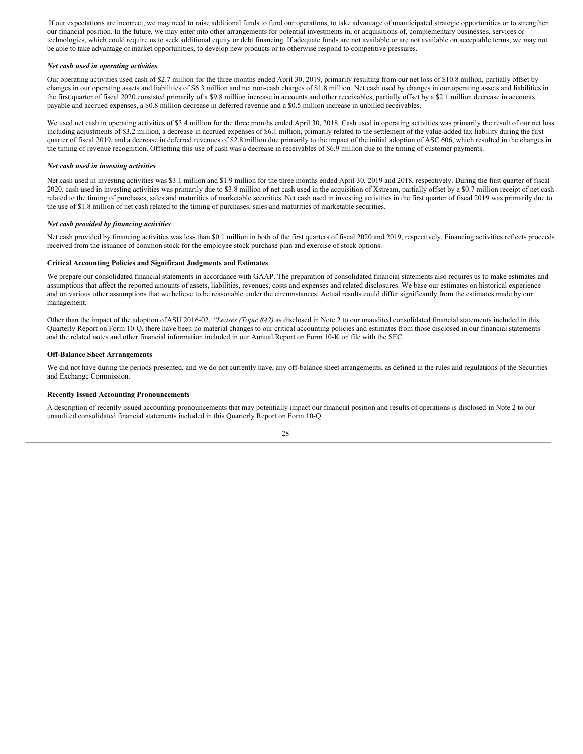If our expectations are incorrect, we may need to raise additional funds to fund our operations, to take advantage of unanticipated strategic opportunities or to strengthen our financial position. In the future, we may enter into other arrangements for potential investments in, or acquisitions of, complementary businesses, services or technologies, which could require us to seek additional equity or debt financing. If adequate funds are not available or are not available on acceptable terms, we may not be able to take advantage of market opportunities, to develop new products or to otherwise respond to competitive pressures.

### *Net cash used in operating activities*

Our operating activities used cash of \$2.7 million for the three months ended April 30, 2019, primarily resulting from our net loss of \$10.8 million, partially offset by changes in our operating assets and liabilities of \$6.3 million and net non-cash charges of \$1.8 million. Net cash used by changes in our operating assets and liabilities in the first quarter of fiscal 2020 consisted primarily of a \$9.8 million increase in accounts and other receivables, partially offset by a \$2.1 million decrease in accounts payable and accrued expenses, a \$0.8 million decrease in deferred revenue and a \$0.5 million increase in unbilled receivables.

We used net cash in operating activities of \$3.4 million for the three months ended April 30, 2018. Cash used in operating activities was primarily the result of our net loss including adjustments of \$3.2 million, a decrease in accrued expenses of \$6.1 million, primarily related to the settlement of the value-added tax liability during the first quarter of fiscal 2019, and a decrease in deferred revenues of \$2.8 million due primarily to the impact of the initial adoption of ASC 606, which resulted in the changes in the timing of revenue recognition. Offsetting this use of cash was a decrease in receivables of \$6.9 million due to the timing of customer payments.

## *Net cash used in investing activities*

Net cash used in investing activities was \$3.1 million and \$1.9 million for the three months ended April 30, 2019 and 2018, respectively. During the first quarter of fiscal 2020, cash used in investing activities was primarily due to \$3.8 million of net cash used in the acquisition of Xstream, partially offset by a \$0.7 million receipt of net cash related to the timing of purchases, sales and maturities of marketable securities. Net cash used in investing activities in the first quarter of fiscal 2019 was primarily due to the use of \$1.8 million of net cash related to the timing of purchases, sales and maturities of marketable securities.

# *Net cash provided by financing activities*

Net cash provided by financing activities was less than \$0.1 million in both of the first quarters of fiscal 2020 and 2019, respectively. Financing activities reflects proceeds received from the issuance of common stock for the employee stock purchase plan and exercise of stock options.

#### **Critical Accounting Policies and Significant Judgments and Estimates**

We prepare our consolidated financial statements in accordance with GAAP. The preparation of consolidated financial statements also requires us to make estimates and assumptions that affect the reported amounts of assets, liabilities, revenues, costs and expenses and related disclosures. We base our estimates on historical experience and on various other assumptions that we believe to be reasonable under the circumstances. Actual results could differ significantly from the estimates made by our management.

Other than the impact of the adoption ofASU 2016-02, *"Leases (Topic 842)* as disclosed in Note 2 to our unaudited consolidated financial statements included in this Quarterly Report on Form 10-Q, there have been no material changes to our critical accounting policies and estimates from those disclosed in our financial statements and the related notes and other financial information included in our Annual Report on Form 10-K on file with the SEC.

# **Off-Balance Sheet Arrangements**

We did not have during the periods presented, and we do not currently have, any off-balance sheet arrangements, as defined in the rules and regulations of the Securities and Exchange Commission.

#### **Recently Issued Accounting Pronouncements**

A description of recently issued accounting pronouncements that may potentially impact our financial position and results of operations is disclosed in Note 2 to our unaudited consolidated financial statements included in this Quarterly Report on Form 10-Q.

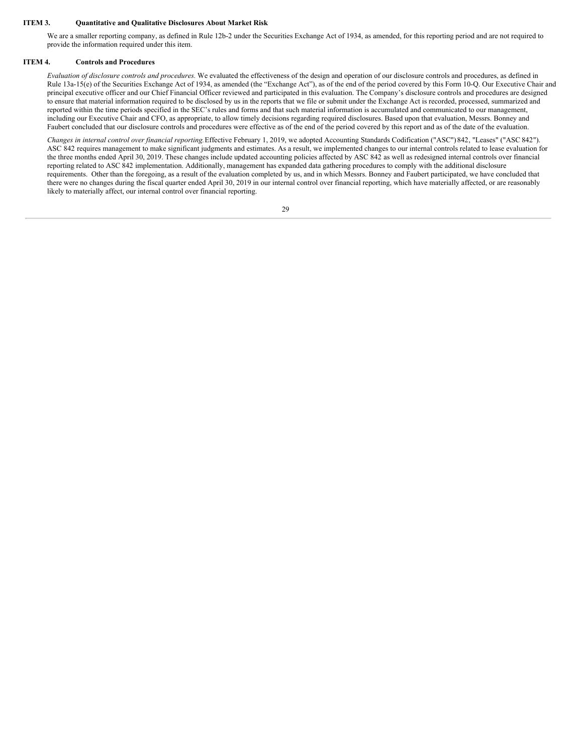#### **ITEM 3. Quantitative and Qualitative Disclosures About Market Risk**

<span id="page-29-0"></span>We are a smaller reporting company, as defined in Rule 12b-2 under the Securities Exchange Act of 1934, as amended, for this reporting period and are not required to provide the information required under this item.

#### **ITEM 4. Controls and Procedures**

<span id="page-29-1"></span>*Evaluation of disclosure controls and procedures.* We evaluated the effectiveness of the design and operation of our disclosure controls and procedures, as defined in Rule 13a-15(e) of the Securities Exchange Act of 1934, as amended (the "Exchange Act"), as of the end of the period covered by this Form 10-Q. Our Executive Chair and principal executive officer and our Chief Financial Officer reviewed and participated in this evaluation. The Company's disclosure controls and procedures are designed to ensure that material information required to be disclosed by us in the reports that we file or submit under the Exchange Act is recorded, processed, summarized and reported within the time periods specified in the SEC's rules and forms and that such material information is accumulated and communicated to our management, including our Executive Chair and CFO, as appropriate, to allow timely decisions regarding required disclosures. Based upon that evaluation, Messrs. Bonney and Faubert concluded that our disclosure controls and procedures were effective as of the end of the period covered by this report and as of the date of the evaluation.

*Changes in internal control over financial reporting.*Effective February 1, 2019, we adopted Accounting Standards Codification ("ASC") 842, "Leases" ("ASC 842"). ASC 842 requires management to make significant judgments and estimates. As a result, we implemented changes to our internal controls related to lease evaluation for the three months ended April 30, 2019. These changes include updated accounting policies affected by ASC 842 as well as redesigned internal controls over financial reporting related to ASC 842 implementation. Additionally, management has expanded data gathering procedures to comply with the additional disclosure requirements. Other than the foregoing, as a result of the evaluation completed by us, and in which Messrs. Bonney and Faubert participated, we have concluded that there were no changes during the fiscal quarter ended April 30, 2019 in our internal control over financial reporting, which have materially affected, or are reasonably likely to materially affect, our internal control over financial reporting.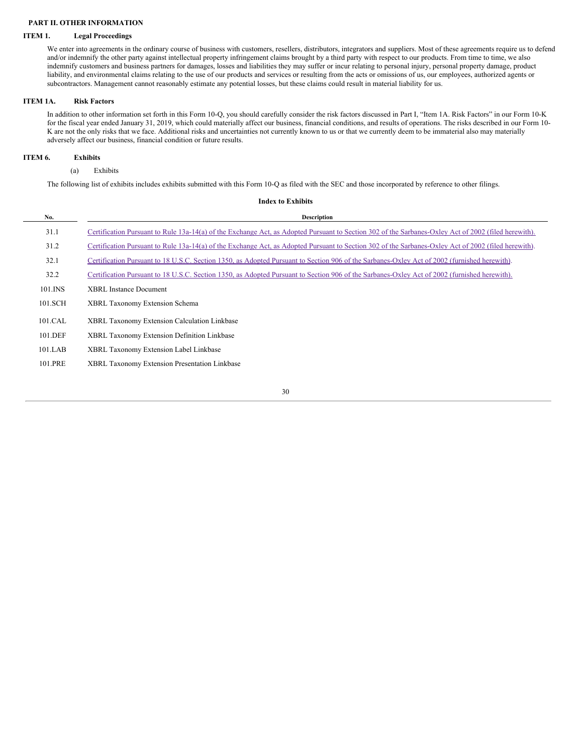# <span id="page-30-0"></span>**PART II. OTHER INFORMATION**

# **ITEM 1. Legal Proceedings**

<span id="page-30-1"></span>We enter into agreements in the ordinary course of business with customers, resellers, distributors, integrators and suppliers. Most of these agreements require us to defend and/or indemnify the other party against intellectual property infringement claims brought by a third party with respect to our products. From time to time, we also indemnify customers and business partners for damages, losses and liabilities they may suffer or incur relating to personal injury, personal property damage, product liability, and environmental claims relating to the use of our products and services or resulting from the acts or omissions of us, our employees, authorized agents or subcontractors. Management cannot reasonably estimate any potential losses, but these claims could result in material liability for us.

# **ITEM 1A. Risk Factors**

<span id="page-30-2"></span>In addition to other information set forth in this Form 10-Q, you should carefully consider the risk factors discussed in Part I, "Item 1A. Risk Factors" in our Form 10-K for the fiscal year ended January 31, 2019, which could materially affect our business, financial conditions, and results of operations. The risks described in our Form 10- K are not the only risks that we face. Additional risks and uncertainties not currently known to us or that we currently deem to be immaterial also may materially adversely affect our business, financial condition or future results.

#### **ITEM 6. Exhibits**

# <span id="page-30-3"></span>(a) Exhibits

The following list of exhibits includes exhibits submitted with this Form 10-Q as filed with the SEC and those incorporated by reference to other filings.

#### **Index to Exhibits**

| No.     | <b>Description</b>                                                                                                                                   |
|---------|------------------------------------------------------------------------------------------------------------------------------------------------------|
| 31.1    | Certification Pursuant to Rule 13a-14(a) of the Exchange Act, as Adopted Pursuant to Section 302 of the Sarbanes-Oxley Act of 2002 (filed herewith). |
| 31.2    | Certification Pursuant to Rule 13a-14(a) of the Exchange Act, as Adopted Pursuant to Section 302 of the Sarbanes-Oxley Act of 2002 (filed herewith). |
| 32.1    | Certification Pursuant to 18 U.S.C. Section 1350, as Adopted Pursuant to Section 906 of the Sarbanes-Oxley Act of 2002 (furnished herewith).         |
| 32.2    | Certification Pursuant to 18 U.S.C. Section 1350, as Adopted Pursuant to Section 906 of the Sarbanes-Oxley Act of 2002 (furnished herewith).         |
| 101.INS | <b>XBRL</b> Instance Document                                                                                                                        |
| 101.SCH | <b>XBRL Taxonomy Extension Schema</b>                                                                                                                |
| 101.CAL | XBRL Taxonomy Extension Calculation Linkbase                                                                                                         |
| 101.DEF | XBRL Taxonomy Extension Definition Linkbase                                                                                                          |
| 101.LAB | XBRL Taxonomy Extension Label Linkbase                                                                                                               |
| 101.PRE | XBRL Taxonomy Extension Presentation Linkbase                                                                                                        |
|         |                                                                                                                                                      |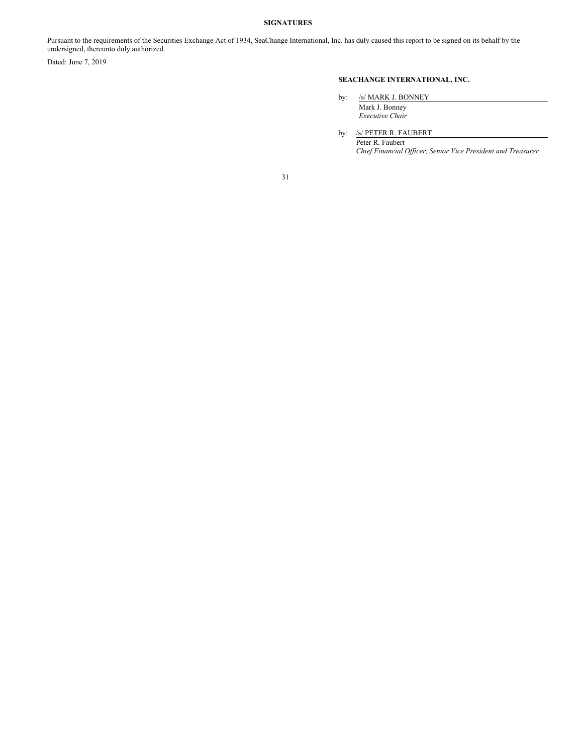# <span id="page-31-0"></span>**SIGNATURES**

Pursuant to the requirements of the Securities Exchange Act of 1934, SeaChange International, Inc. has duly caused this report to be signed on its behalf by the undersigned, thereunto duly authorized.

Dated: June 7, 2019

# **SEACHANGE INTERNATIONAL, INC.**

by: /s/ MARK J. BONNEY

Mark J. Bonney *Executive Chair*

by: /s/ PETER R. FAUBERT

Peter R. Faubert *Chief Financial Of icer, Senior Vice President and Treasurer*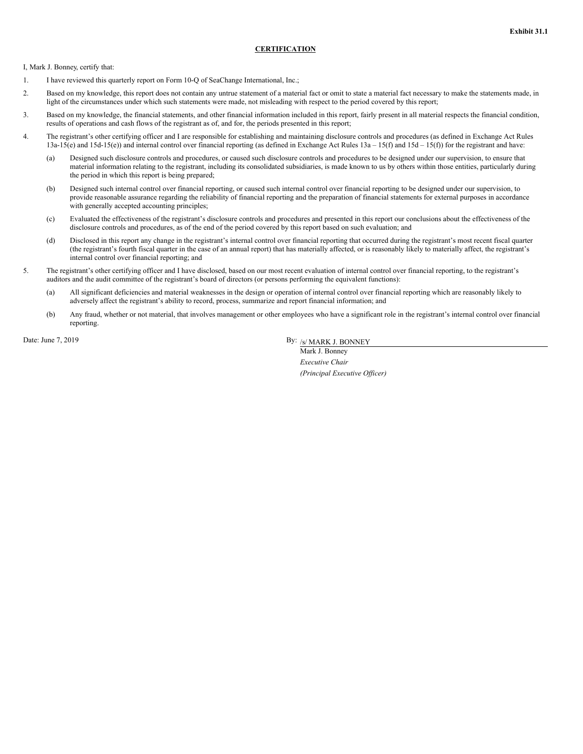# **CERTIFICATION**

<span id="page-32-0"></span>I, Mark J. Bonney, certify that:

- 1. I have reviewed this quarterly report on Form 10-Q of SeaChange International, Inc.;
- 2. Based on my knowledge, this report does not contain any untrue statement of a material fact or omit to state a material fact necessary to make the statements made, in light of the circumstances under which such statements were made, not misleading with respect to the period covered by this report;
- 3. Based on my knowledge, the financial statements, and other financial information included in this report, fairly present in all material respects the financial condition, results of operations and cash flows of the registrant as of, and for, the periods presented in this report;
- 4. The registrant's other certifying officer and I are responsible for establishing and maintaining disclosure controls and procedures (as defined in Exchange Act Rules  $13a-15(e)$  and  $15d-15(e)$ ) and internal control over financial reporting (as defined in Exchange Act Rules  $13a-15(f)$  and  $15d-15(f)$ ) for the registrant and have:
	- (a) Designed such disclosure controls and procedures, or caused such disclosure controls and procedures to be designed under our supervision, to ensure that material information relating to the registrant, including its consolidated subsidiaries, is made known to us by others within those entities, particularly during the period in which this report is being prepared;
	- (b) Designed such internal control over financial reporting, or caused such internal control over financial reporting to be designed under our supervision, to provide reasonable assurance regarding the reliability of financial reporting and the preparation of financial statements for external purposes in accordance with generally accepted accounting principles;
	- (c) Evaluated the effectiveness of the registrant's disclosure controls and procedures and presented in this report our conclusions about the effectiveness of the disclosure controls and procedures, as of the end of the period covered by this report based on such evaluation; and
	- (d) Disclosed in this report any change in the registrant's internal control over financial reporting that occurred during the registrant's most recent fiscal quarter (the registrant's fourth fiscal quarter in the case of an annual report) that has materially affected, or is reasonably likely to materially affect, the registrant's internal control over financial reporting; and
- 5. The registrant's other certifying officer and I have disclosed, based on our most recent evaluation of internal control over financial reporting, to the registrant's auditors and the audit committee of the registrant's board of directors (or persons performing the equivalent functions):
	- (a) All significant deficiencies and material weaknesses in the design or operation of internal control over financial reporting which are reasonably likely to adversely affect the registrant's ability to record, process, summarize and report financial information; and
	- (b) Any fraud, whether or not material, that involves management or other employees who have a significant role in the registrant's internal control over financial reporting.

Date: June 7, 2019

By: /s/ MARK J. BONNEY

Mark J. Bonney *Executive Chair (Principal Executive Of icer)*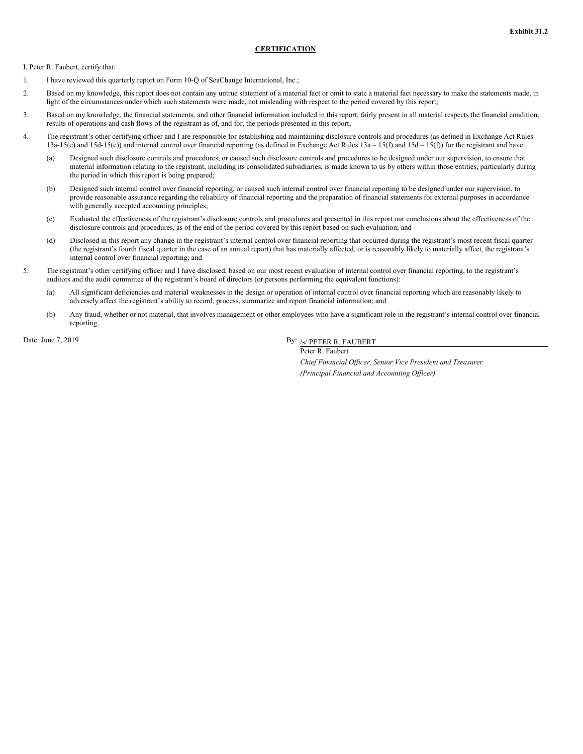# **CERTIFICATION**

<span id="page-33-0"></span>I, Peter R. Faubert, certify that:

- 1. I have reviewed this quarterly report on Form 10-Q of SeaChange International, Inc.;
- 2. Based on my knowledge, this report does not contain any untrue statement of a material fact or omit to state a material fact necessary to make the statements made, in light of the circumstances under which such statements were made, not misleading with respect to the period covered by this report;
- 3. Based on my knowledge, the financial statements, and other financial information included in this report, fairly present in all material respects the financial condition, results of operations and cash flows of the registrant as of, and for, the periods presented in this report;
- 4. The registrant's other certifying officer and I are responsible for establishing and maintaining disclosure controls and procedures (as defined in Exchange Act Rules  $13a-15(e)$  and  $15d-15(e)$ ) and internal control over financial reporting (as defined in Exchange Act Rules  $13a-15(f)$  and  $15d-15(f)$ ) for the registrant and have:
	- (a) Designed such disclosure controls and procedures, or caused such disclosure controls and procedures to be designed under our supervision, to ensure that material information relating to the registrant, including its consolidated subsidiaries, is made known to us by others within those entities, particularly during the period in which this report is being prepared;
	- (b) Designed such internal control over financial reporting, or caused such internal control over financial reporting to be designed under our supervision, to provide reasonable assurance regarding the reliability of financial reporting and the preparation of financial statements for external purposes in accordance with generally accepted accounting principles;
	- (c) Evaluated the effectiveness of the registrant's disclosure controls and procedures and presented in this report our conclusions about the effectiveness of the disclosure controls and procedures, as of the end of the period covered by this report based on such evaluation; and
	- (d) Disclosed in this report any change in the registrant's internal control over financial reporting that occurred during the registrant's most recent fiscal quarter (the registrant's fourth fiscal quarter in the case of an annual report) that has materially affected, or is reasonably likely to materially affect, the registrant's internal control over financial reporting; and
- 5. The registrant's other certifying officer and I have disclosed, based on our most recent evaluation of internal control over financial reporting, to the registrant's auditors and the audit committee of the registrant's board of directors (or persons performing the equivalent functions):
	- (a) All significant deficiencies and material weaknesses in the design or operation of internal control over financial reporting which are reasonably likely to adversely affect the registrant's ability to record, process, summarize and report financial information; and
	- (b) Any fraud, whether or not material, that involves management or other employees who have a significant role in the registrant's internal control over financial reporting.

Date: June 7, 2019

By: /s/ PETER R. FAUBERT

Peter R. Faubert *Chief Financial Of icer, Senior Vice President and Treasurer (Principal Financial and Accounting Of icer)*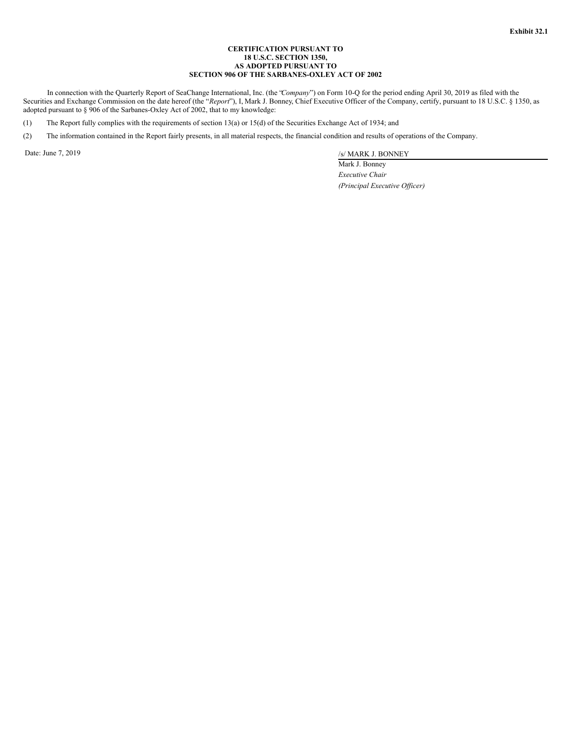## **CERTIFICATION PURSUANT TO 18 U.S.C. SECTION 1350, AS ADOPTED PURSUANT TO SECTION 906 OF THE SARBANES-OXLEY ACT OF 2002**

<span id="page-34-0"></span>In connection with the Quarterly Report of SeaChange International, Inc. (the "*Company*") on Form 10-Q for the period ending April 30, 2019 as filed with the Securities and Exchange Commission on the date hereof (the "*Report*"), I, Mark J. Bonney, Chief Executive Officer of the Company, certify, pursuant to 18 U.S.C. § 1350, as adopted pursuant to § 906 of the Sarbanes-Oxley Act of 2002, that to my knowledge:

(1) The Report fully complies with the requirements of section 13(a) or 15(d) of the Securities Exchange Act of 1934; and

(2) The information contained in the Report fairly presents, in all material respects, the financial condition and results of operations of the Company.

Date: June 7, 2019 /s/ MARK J. BONNEY

Mark J. Bonney *Executive Chair (Principal Executive Of icer)*